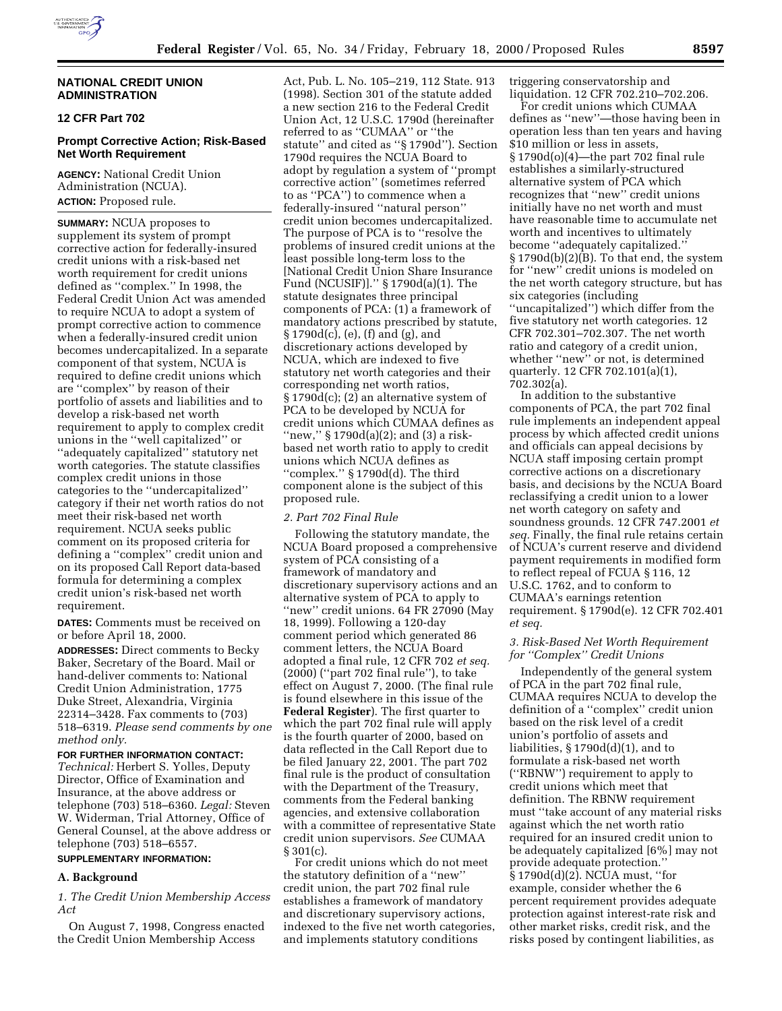### **NATIONAL CREDIT UNION ADMINISTRATION**

# **12 CFR Part 702**

# **Prompt Corrective Action; Risk-Based Net Worth Requirement**

**AGENCY:** National Credit Union Administration (NCUA). **ACTION:** Proposed rule.

**SUMMARY:** NCUA proposes to supplement its system of prompt corrective action for federally-insured credit unions with a risk-based net worth requirement for credit unions defined as ''complex.'' In 1998, the Federal Credit Union Act was amended to require NCUA to adopt a system of prompt corrective action to commence when a federally-insured credit union becomes undercapitalized. In a separate component of that system, NCUA is required to define credit unions which are ''complex'' by reason of their portfolio of assets and liabilities and to develop a risk-based net worth requirement to apply to complex credit unions in the ''well capitalized'' or ''adequately capitalized'' statutory net worth categories. The statute classifies complex credit unions in those categories to the ''undercapitalized'' category if their net worth ratios do not meet their risk-based net worth requirement. NCUA seeks public comment on its proposed criteria for defining a ''complex'' credit union and on its proposed Call Report data-based formula for determining a complex credit union's risk-based net worth requirement.

**DATES:** Comments must be received on or before April 18, 2000.

**ADDRESSES:** Direct comments to Becky Baker, Secretary of the Board. Mail or hand-deliver comments to: National Credit Union Administration, 1775 Duke Street, Alexandria, Virginia 22314–3428. Fax comments to (703) 518–6319. *Please send comments by one method only.*

#### **FOR FURTHER INFORMATION CONTACT:**

*Technical:* Herbert S. Yolles, Deputy Director, Office of Examination and Insurance, at the above address or telephone (703) 518–6360. *Legal:* Steven W. Widerman, Trial Attorney, Office of General Counsel, at the above address or telephone (703) 518–6557.

### **SUPPLEMENTARY INFORMATION:**

#### **A. Background**

*1. The Credit Union Membership Access Act*

On August 7, 1998, Congress enacted the Credit Union Membership Access

Act, Pub. L. No. 105–219, 112 State. 913 (1998). Section 301 of the statute added a new section 216 to the Federal Credit Union Act, 12 U.S.C. 1790d (hereinafter referred to as ''CUMAA'' or ''the statute'' and cited as ''§ 1790d''). Section 1790d requires the NCUA Board to adopt by regulation a system of ''prompt corrective action'' (sometimes referred to as ''PCA'') to commence when a federally-insured ''natural person'' credit union becomes undercapitalized. The purpose of PCA is to ''resolve the problems of insured credit unions at the least possible long-term loss to the [National Credit Union Share Insurance Fund (NCUSIF)].'' § 1790d(a)(1). The statute designates three principal components of PCA: (1) a framework of mandatory actions prescribed by statute, § 1790d(c), (e), (f) and (g), and discretionary actions developed by NCUA, which are indexed to five statutory net worth categories and their corresponding net worth ratios, § 1790d(c); (2) an alternative system of PCA to be developed by NCUA for credit unions which CUMAA defines as "new," § 1790d(a)(2); and (3) a riskbased net worth ratio to apply to credit unions which NCUA defines as ''complex.'' § 1790d(d). The third component alone is the subject of this proposed rule.

#### *2. Part 702 Final Rule*

Following the statutory mandate, the NCUA Board proposed a comprehensive system of PCA consisting of a framework of mandatory and discretionary supervisory actions and an alternative system of PCA to apply to ''new'' credit unions. 64 FR 27090 (May 18, 1999). Following a 120-day comment period which generated 86 comment letters, the NCUA Board adopted a final rule, 12 CFR 702 *et seq.* (2000) (''part 702 final rule''), to take effect on August 7, 2000. (The final rule is found elsewhere in this issue of the **Federal Register**). The first quarter to which the part 702 final rule will apply is the fourth quarter of 2000, based on data reflected in the Call Report due to be filed January 22, 2001. The part 702 final rule is the product of consultation with the Department of the Treasury, comments from the Federal banking agencies, and extensive collaboration with a committee of representative State credit union supervisors. *See* CUMAA § 301(c).

For credit unions which do not meet the statutory definition of a ''new'' credit union, the part 702 final rule establishes a framework of mandatory and discretionary supervisory actions, indexed to the five net worth categories, and implements statutory conditions

triggering conservatorship and liquidation. 12 CFR 702.210–702.206.

For credit unions which CUMAA defines as ''new''—those having been in operation less than ten years and having \$10 million or less in assets, § 1790d(o)(4)—the part 702 final rule establishes a similarly-structured alternative system of PCA which recognizes that ''new'' credit unions initially have no net worth and must have reasonable time to accumulate net worth and incentives to ultimately become ''adequately capitalized.'' § 1790d(b)(2)(B). To that end, the system for ''new'' credit unions is modeled on the net worth category structure, but has six categories (including ''uncapitalized'') which differ from the five statutory net worth categories. 12 CFR 702.301–702.307. The net worth ratio and category of a credit union, whether ''new'' or not, is determined quarterly. 12 CFR 702.101(a)(1), 702.302(a).

In addition to the substantive components of PCA, the part 702 final rule implements an independent appeal process by which affected credit unions and officials can appeal decisions by NCUA staff imposing certain prompt corrective actions on a discretionary basis, and decisions by the NCUA Board reclassifying a credit union to a lower net worth category on safety and soundness grounds. 12 CFR 747.2001 *et seq.* Finally, the final rule retains certain of NCUA's current reserve and dividend payment requirements in modified form to reflect repeal of FCUA § 116, 12 U.S.C. 1762, and to conform to CUMAA's earnings retention requirement. § 1790d(e). 12 CFR 702.401 *et seq.*

#### *3. Risk-Based Net Worth Requirement for ''Complex'' Credit Unions*

Independently of the general system of PCA in the part 702 final rule, CUMAA requires NCUA to develop the definition of a ''complex'' credit union based on the risk level of a credit union's portfolio of assets and liabilities, § 1790d(d)(1), and to formulate a risk-based net worth (''RBNW'') requirement to apply to credit unions which meet that definition. The RBNW requirement must ''take account of any material risks against which the net worth ratio required for an insured credit union to be adequately capitalized [6%] may not provide adequate protection.''  $\S 1790d(d)(2)$ . NCUA must, "for example, consider whether the 6 percent requirement provides adequate protection against interest-rate risk and other market risks, credit risk, and the risks posed by contingent liabilities, as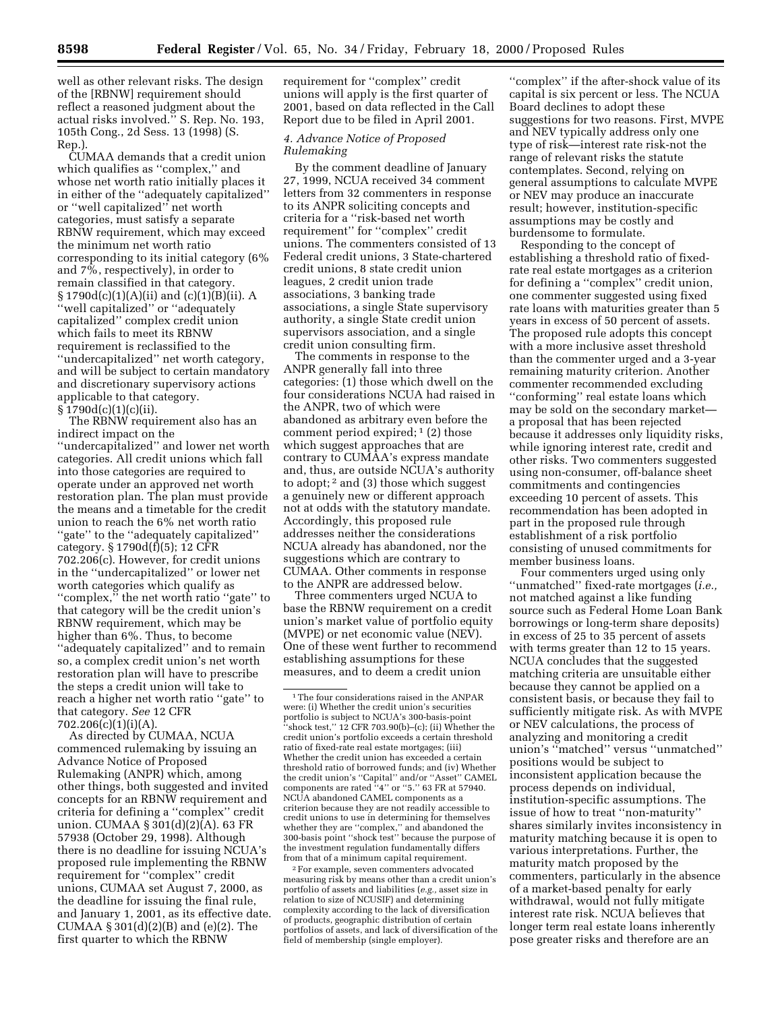well as other relevant risks. The design of the [RBNW] requirement should reflect a reasoned judgment about the actual risks involved.'' S. Rep. No. 193, 105th Cong., 2d Sess. 13 (1998) (S. Rep.).

CUMAA demands that a credit union which qualifies as ''complex,'' and whose net worth ratio initially places it in either of the ''adequately capitalized'' or ''well capitalized'' net worth categories, must satisfy a separate RBNW requirement, which may exceed the minimum net worth ratio corresponding to its initial category (6% and 7%, respectively), in order to remain classified in that category. § 1790d(c)(1)(A)(ii) and (c)(1)(B)(ii). A ''well capitalized'' or ''adequately capitalized'' complex credit union which fails to meet its RBNW requirement is reclassified to the ''undercapitalized'' net worth category, and will be subject to certain mandatory and discretionary supervisory actions applicable to that category.  $\S 1790d(c)(1)(c)(ii).$ 

The RBNW requirement also has an indirect impact on the ''undercapitalized'' and lower net worth categories. All credit unions which fall into those categories are required to operate under an approved net worth restoration plan. The plan must provide the means and a timetable for the credit union to reach the 6% net worth ratio ''gate'' to the ''adequately capitalized'' category. § 1790d(f)(5); 12 CFR 702.206(c). However, for credit unions in the ''undercapitalized'' or lower net worth categories which qualify as ''complex,'' the net worth ratio ''gate'' to that category will be the credit union's RBNW requirement, which may be higher than 6%. Thus, to become ''adequately capitalized'' and to remain so, a complex credit union's net worth restoration plan will have to prescribe the steps a credit union will take to reach a higher net worth ratio ''gate'' to that category. *See* 12 CFR 702.206(c)(1)(i)(A).

As directed by CUMAA, NCUA commenced rulemaking by issuing an Advance Notice of Proposed Rulemaking (ANPR) which, among other things, both suggested and invited concepts for an RBNW requirement and criteria for defining a ''complex'' credit union. CUMAA § 301(d)(2)(A). 63 FR 57938 (October 29, 1998). Although there is no deadline for issuing NCUA's proposed rule implementing the RBNW requirement for ''complex'' credit unions, CUMAA set August 7, 2000, as the deadline for issuing the final rule, and January 1, 2001, as its effective date. CUMAA § 301(d)(2)(B) and (e)(2). The first quarter to which the RBNW

requirement for ''complex'' credit unions will apply is the first quarter of 2001, based on data reflected in the Call Report due to be filed in April 2001.

### *4. Advance Notice of Proposed Rulemaking*

By the comment deadline of January 27, 1999, NCUA received 34 comment letters from 32 commenters in response to its ANPR soliciting concepts and criteria for a ''risk-based net worth requirement'' for ''complex'' credit unions. The commenters consisted of 13 Federal credit unions, 3 State-chartered credit unions, 8 state credit union leagues, 2 credit union trade associations, 3 banking trade associations, a single State supervisory authority, a single State credit union supervisors association, and a single credit union consulting firm.

The comments in response to the ANPR generally fall into three categories: (1) those which dwell on the four considerations NCUA had raised in the ANPR, two of which were abandoned as arbitrary even before the comment period expired;  $(2)$  those which suggest approaches that are contrary to CUMAA's express mandate and, thus, are outside NCUA's authority to adopt; 2 and (3) those which suggest a genuinely new or different approach not at odds with the statutory mandate. Accordingly, this proposed rule addresses neither the considerations NCUA already has abandoned, nor the suggestions which are contrary to CUMAA. Other comments in response to the ANPR are addressed below.

Three commenters urged NCUA to base the RBNW requirement on a credit union's market value of portfolio equity (MVPE) or net economic value (NEV). One of these went further to recommend establishing assumptions for these measures, and to deem a credit union

2For example, seven commenters advocated measuring risk by means other than a credit union's portfolio of assets and liabilities (*e.g.,* asset size in relation to size of NCUSIF) and determining complexity according to the lack of diversification of products, geographic distribution of certain portfolios of assets, and lack of diversification of the field of membership (single employer).

''complex'' if the after-shock value of its capital is six percent or less. The NCUA Board declines to adopt these suggestions for two reasons. First, MVPE and NEV typically address only one type of risk—interest rate risk-not the range of relevant risks the statute contemplates. Second, relying on general assumptions to calculate MVPE or NEV may produce an inaccurate result; however, institution-specific assumptions may be costly and burdensome to formulate.

Responding to the concept of establishing a threshold ratio of fixedrate real estate mortgages as a criterion for defining a ''complex'' credit union, one commenter suggested using fixed rate loans with maturities greater than 5 years in excess of 50 percent of assets. The proposed rule adopts this concept with a more inclusive asset threshold than the commenter urged and a 3-year remaining maturity criterion. Another commenter recommended excluding ''conforming'' real estate loans which may be sold on the secondary market a proposal that has been rejected because it addresses only liquidity risks, while ignoring interest rate, credit and other risks. Two commenters suggested using non-consumer, off-balance sheet commitments and contingencies exceeding 10 percent of assets. This recommendation has been adopted in part in the proposed rule through establishment of a risk portfolio consisting of unused commitments for member business loans.

Four commenters urged using only ''unmatched'' fixed-rate mortgages (*i.e.,* not matched against a like funding source such as Federal Home Loan Bank borrowings or long-term share deposits) in excess of 25 to 35 percent of assets with terms greater than 12 to 15 years. NCUA concludes that the suggested matching criteria are unsuitable either because they cannot be applied on a consistent basis, or because they fail to sufficiently mitigate risk. As with MVPE or NEV calculations, the process of analyzing and monitoring a credit union's ''matched'' versus ''unmatched'' positions would be subject to inconsistent application because the process depends on individual, institution-specific assumptions. The issue of how to treat ''non-maturity'' shares similarly invites inconsistency in maturity matching because it is open to various interpretations. Further, the maturity match proposed by the commenters, particularly in the absence of a market-based penalty for early withdrawal, would not fully mitigate interest rate risk. NCUA believes that longer term real estate loans inherently pose greater risks and therefore are an

<sup>1</sup>The four considerations raised in the ANPAR were: (i) Whether the credit union's securities portfolio is subject to NCUA's 300-basis-point  $\mathbf{F}^{\mathsf{t}}$ 'shock test,'' 12 CFR 703.90(b)–(c); (ii) Whether the credit union's portfolio exceeds a certain threshold ratio of fixed-rate real estate mortgages; (iii) Whether the credit union has exceeded a certain threshold ratio of borrowed funds; and (iv) Whether the credit union's ''Capital'' and/or ''Asset'' CAMEL components are rated ''4'' or ''5.'' 63 FR at 57940. NCUA abandoned CAMEL components as a criterion because they are not readily accessible to credit unions to use in determining for themselves whether they are ''complex,'' and abandoned the 300-basis point ''shock test'' because the purpose of the investment regulation fundamentally differs from that of a minimum capital requirement.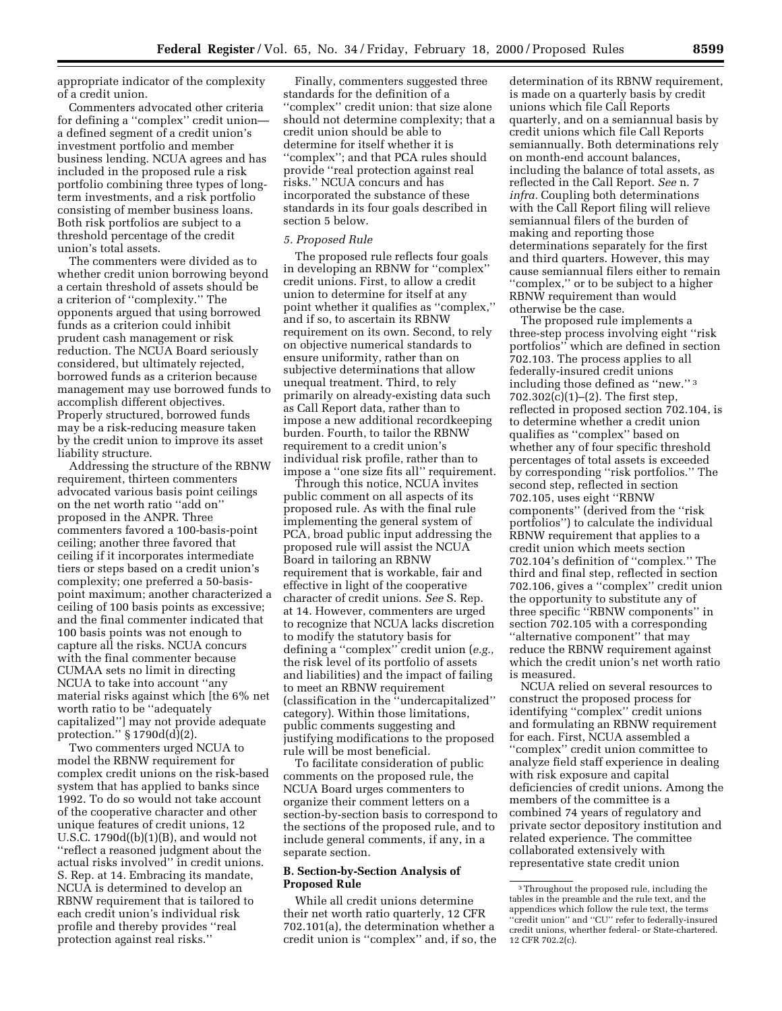appropriate indicator of the complexity of a credit union.

Commenters advocated other criteria for defining a ''complex'' credit union a defined segment of a credit union's investment portfolio and member business lending. NCUA agrees and has included in the proposed rule a risk portfolio combining three types of longterm investments, and a risk portfolio consisting of member business loans. Both risk portfolios are subject to a threshold percentage of the credit union's total assets.

The commenters were divided as to whether credit union borrowing beyond a certain threshold of assets should be a criterion of ''complexity.'' The opponents argued that using borrowed funds as a criterion could inhibit prudent cash management or risk reduction. The NCUA Board seriously considered, but ultimately rejected, borrowed funds as a criterion because management may use borrowed funds to accomplish different objectives. Properly structured, borrowed funds may be a risk-reducing measure taken by the credit union to improve its asset liability structure.

Addressing the structure of the RBNW requirement, thirteen commenters advocated various basis point ceilings on the net worth ratio ''add on'' proposed in the ANPR. Three commenters favored a 100-basis-point ceiling; another three favored that ceiling if it incorporates intermediate tiers or steps based on a credit union's complexity; one preferred a 50-basispoint maximum; another characterized a ceiling of 100 basis points as excessive; and the final commenter indicated that 100 basis points was not enough to capture all the risks. NCUA concurs with the final commenter because CUMAA sets no limit in directing NCUA to take into account ''any material risks against which [the 6% net worth ratio to be ''adequately capitalized''] may not provide adequate protection.'' § 1790d(d)(2).

Two commenters urged NCUA to model the RBNW requirement for complex credit unions on the risk-based system that has applied to banks since 1992. To do so would not take account of the cooperative character and other unique features of credit unions, 12 U.S.C. 1790d((b)(1)(B), and would not ''reflect a reasoned judgment about the actual risks involved'' in credit unions. S. Rep. at 14. Embracing its mandate, NCUA is determined to develop an RBNW requirement that is tailored to each credit union's individual risk profile and thereby provides ''real protection against real risks.''

Finally, commenters suggested three standards for the definition of a ''complex'' credit union: that size alone should not determine complexity; that a credit union should be able to determine for itself whether it is ''complex''; and that PCA rules should provide ''real protection against real risks.'' NCUA concurs and has incorporated the substance of these standards in its four goals described in section 5 below.

#### *5. Proposed Rule*

The proposed rule reflects four goals in developing an RBNW for ''complex'' credit unions. First, to allow a credit union to determine for itself at any point whether it qualifies as ''complex,'' and if so, to ascertain its RBNW requirement on its own. Second, to rely on objective numerical standards to ensure uniformity, rather than on subjective determinations that allow unequal treatment. Third, to rely primarily on already-existing data such as Call Report data, rather than to impose a new additional recordkeeping burden. Fourth, to tailor the RBNW requirement to a credit union's individual risk profile, rather than to impose a ''one size fits all'' requirement.

Through this notice, NCUA invites public comment on all aspects of its proposed rule. As with the final rule implementing the general system of PCA, broad public input addressing the proposed rule will assist the NCUA Board in tailoring an RBNW requirement that is workable, fair and effective in light of the cooperative character of credit unions. *See* S. Rep. at 14. However, commenters are urged to recognize that NCUA lacks discretion to modify the statutory basis for defining a ''complex'' credit union (*e.g.,* the risk level of its portfolio of assets and liabilities) and the impact of failing to meet an RBNW requirement (classification in the ''undercapitalized'' category). Within those limitations, public comments suggesting and justifying modifications to the proposed rule will be most beneficial.

To facilitate consideration of public comments on the proposed rule, the NCUA Board urges commenters to organize their comment letters on a section-by-section basis to correspond to the sections of the proposed rule, and to include general comments, if any, in a separate section.

#### **B. Section-by-Section Analysis of Proposed Rule**

While all credit unions determine their net worth ratio quarterly, 12 CFR 702.101(a), the determination whether a credit union is ''complex'' and, if so, the

determination of its RBNW requirement, is made on a quarterly basis by credit unions which file Call Reports quarterly, and on a semiannual basis by credit unions which file Call Reports semiannually. Both determinations rely on month-end account balances, including the balance of total assets, as reflected in the Call Report. *See* n. 7 *infra.* Coupling both determinations with the Call Report filing will relieve semiannual filers of the burden of making and reporting those determinations separately for the first and third quarters. However, this may cause semiannual filers either to remain ''complex,'' or to be subject to a higher RBNW requirement than would otherwise be the case.

The proposed rule implements a three-step process involving eight ''risk portfolios'' which are defined in section 702.103. The process applies to all federally-insured credit unions including those defined as ''new.'' 3 702.302(c)(1)–(2). The first step, reflected in proposed section 702.104, is to determine whether a credit union qualifies as ''complex'' based on whether any of four specific threshold percentages of total assets is exceeded by corresponding ''risk portfolios.'' The second step, reflected in section 702.105, uses eight ''RBNW components'' (derived from the ''risk portfolios'') to calculate the individual RBNW requirement that applies to a credit union which meets section 702.104's definition of ''complex.'' The third and final step, reflected in section 702.106, gives a ''complex'' credit union the opportunity to substitute any of three specific ''RBNW components'' in section 702.105 with a corresponding ''alternative component'' that may reduce the RBNW requirement against which the credit union's net worth ratio is measured.

NCUA relied on several resources to construct the proposed process for identifying ''complex'' credit unions and formulating an RBNW requirement for each. First, NCUA assembled a ''complex'' credit union committee to analyze field staff experience in dealing with risk exposure and capital deficiencies of credit unions. Among the members of the committee is a combined 74 years of regulatory and private sector depository institution and related experience. The committee collaborated extensively with representative state credit union

<sup>3</sup>Throughout the proposed rule, including the tables in the preamble and the rule text, and the appendices which follow the rule text, the terms ''credit union'' and ''CU'' refer to federally-insured credit unions, wherther federal- or State-chartered. 12 CFR 702.2(c).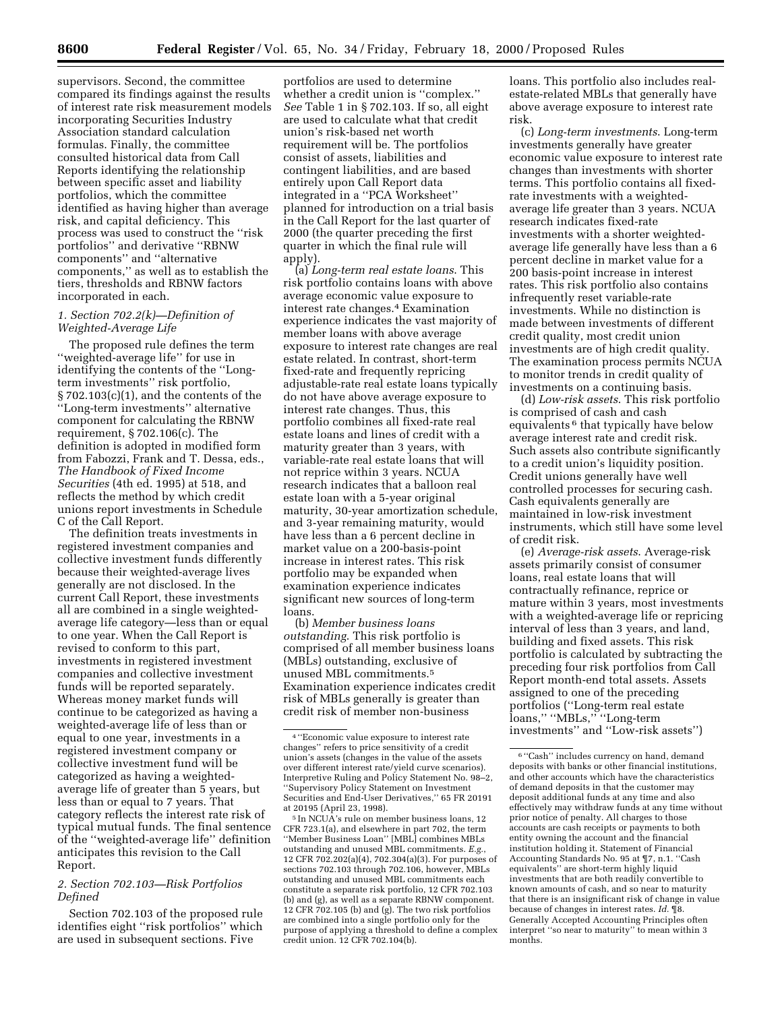supervisors. Second, the committee compared its findings against the results of interest rate risk measurement models incorporating Securities Industry Association standard calculation formulas. Finally, the committee consulted historical data from Call Reports identifying the relationship between specific asset and liability portfolios, which the committee identified as having higher than average risk, and capital deficiency. This process was used to construct the ''risk portfolios'' and derivative ''RBNW components'' and ''alternative components,'' as well as to establish the tiers, thresholds and RBNW factors incorporated in each.

### *1. Section 702.2(k)—Definition of Weighted-Average Life*

The proposed rule defines the term ''weighted-average life'' for use in identifying the contents of the ''Longterm investments'' risk portfolio, § 702.103(c)(1), and the contents of the ''Long-term investments'' alternative component for calculating the RBNW requirement, § 702.106(c). The definition is adopted in modified form from Fabozzi, Frank and T. Dessa, eds., *The Handbook of Fixed Income Securities* (4th ed. 1995) at 518, and reflects the method by which credit unions report investments in Schedule C of the Call Report.

The definition treats investments in registered investment companies and collective investment funds differently because their weighted-average lives generally are not disclosed. In the current Call Report, these investments all are combined in a single weightedaverage life category—less than or equal to one year. When the Call Report is revised to conform to this part, investments in registered investment companies and collective investment funds will be reported separately. Whereas money market funds will continue to be categorized as having a weighted-average life of less than or equal to one year, investments in a registered investment company or collective investment fund will be categorized as having a weightedaverage life of greater than 5 years, but less than or equal to 7 years. That category reflects the interest rate risk of typical mutual funds. The final sentence of the ''weighted-average life'' definition anticipates this revision to the Call Report.

### *2. Section 702.103—Risk Portfolios Defined*

Section 702.103 of the proposed rule identifies eight ''risk portfolios'' which are used in subsequent sections. Five

portfolios are used to determine whether a credit union is ''complex.'' *See* Table 1 in § 702.103. If so, all eight are used to calculate what that credit union's risk-based net worth requirement will be. The portfolios consist of assets, liabilities and contingent liabilities, and are based entirely upon Call Report data integrated in a ''PCA Worksheet'' planned for introduction on a trial basis in the Call Report for the last quarter of 2000 (the quarter preceding the first quarter in which the final rule will apply).

(a) *Long-term real estate loans*. This risk portfolio contains loans with above average economic value exposure to interest rate changes.4 Examination experience indicates the vast majority of member loans with above average exposure to interest rate changes are real estate related. In contrast, short-term fixed-rate and frequently repricing adjustable-rate real estate loans typically do not have above average exposure to interest rate changes. Thus, this portfolio combines all fixed-rate real estate loans and lines of credit with a maturity greater than 3 years, with variable-rate real estate loans that will not reprice within 3 years. NCUA research indicates that a balloon real estate loan with a 5-year original maturity, 30-year amortization schedule, and 3-year remaining maturity, would have less than a 6 percent decline in market value on a 200-basis-point increase in interest rates. This risk portfolio may be expanded when examination experience indicates significant new sources of long-term loans.

(b) *Member business loans outstanding*. This risk portfolio is comprised of all member business loans (MBLs) outstanding, exclusive of unused MBL commitments.5 Examination experience indicates credit risk of MBLs generally is greater than credit risk of member non-business

5 In NCUA's rule on member business loans, 12 CFR 723.1(a), and elsewhere in part 702, the term ''Member Business Loan'' [MBL] combines MBLs outstanding and unused MBL commitments. *E.g.*, 12 CFR 702.202(a)(4), 702.304(a)(3). For purposes of sections 702.103 through 702.106, however, MBLs outstanding and unused MBL commitments each constitute a separate risk portfolio, 12 CFR 702.103 (b) and (g), as well as a separate RBNW component. 12 CFR 702.105 (b) and (g). The two risk portfolios are combined into a single portfolio only for the purpose of applying a threshold to define a complex credit union. 12 CFR 702.104(b).

loans. This portfolio also includes realestate-related MBLs that generally have above average exposure to interest rate risk.

(c) *Long-term investments*. Long-term investments generally have greater economic value exposure to interest rate changes than investments with shorter terms. This portfolio contains all fixedrate investments with a weightedaverage life greater than 3 years. NCUA research indicates fixed-rate investments with a shorter weightedaverage life generally have less than a 6 percent decline in market value for a 200 basis-point increase in interest rates. This risk portfolio also contains infrequently reset variable-rate investments. While no distinction is made between investments of different credit quality, most credit union investments are of high credit quality. The examination process permits NCUA to monitor trends in credit quality of investments on a continuing basis.

(d) *Low-risk assets*. This risk portfolio is comprised of cash and cash equivalents 6 that typically have below average interest rate and credit risk. Such assets also contribute significantly to a credit union's liquidity position. Credit unions generally have well controlled processes for securing cash. Cash equivalents generally are maintained in low-risk investment instruments, which still have some level of credit risk.

(e) *Average-risk assets*. Average-risk assets primarily consist of consumer loans, real estate loans that will contractually refinance, reprice or mature within 3 years, most investments with a weighted-average life or repricing interval of less than 3 years, and land, building and fixed assets. This risk portfolio is calculated by subtracting the preceding four risk portfolios from Call Report month-end total assets. Assets assigned to one of the preceding portfolios (''Long-term real estate loans,'' ''MBLs,'' ''Long-term investments'' and ''Low-risk assets'')

<sup>4</sup> ''Economic value exposure to interest rate changes'' refers to price sensitivity of a credit union's assets (changes in the value of the assets over different interest rate/yield curve scenarios). Interpretive Ruling and Policy Statement No. 98–2, ''Supervisory Policy Statement on Investment Securities and End-User Derivatives,'' 65 FR 20191 at 20195 (April 23, 1998).

<sup>6</sup> ''Cash'' includes currency on hand, demand deposits with banks or other financial institutions, and other accounts which have the characteristics of demand deposits in that the customer may deposit additional funds at any time and also effectively may withdraw funds at any time without prior notice of penalty. All charges to those accounts are cash receipts or payments to both entity owning the account and the financial institution holding it. Statement of Financial Accounting Standards No. 95 at ¶7, n.1. ''Cash equivalents'' are short-term highly liquid investments that are both readily convertible to known amounts of cash, and so near to maturity that there is an insignificant risk of change in value because of changes in interest rates. *Id.* ¶8. Generally Accepted Accounting Principles often interpret ''so near to maturity'' to mean within 3 months.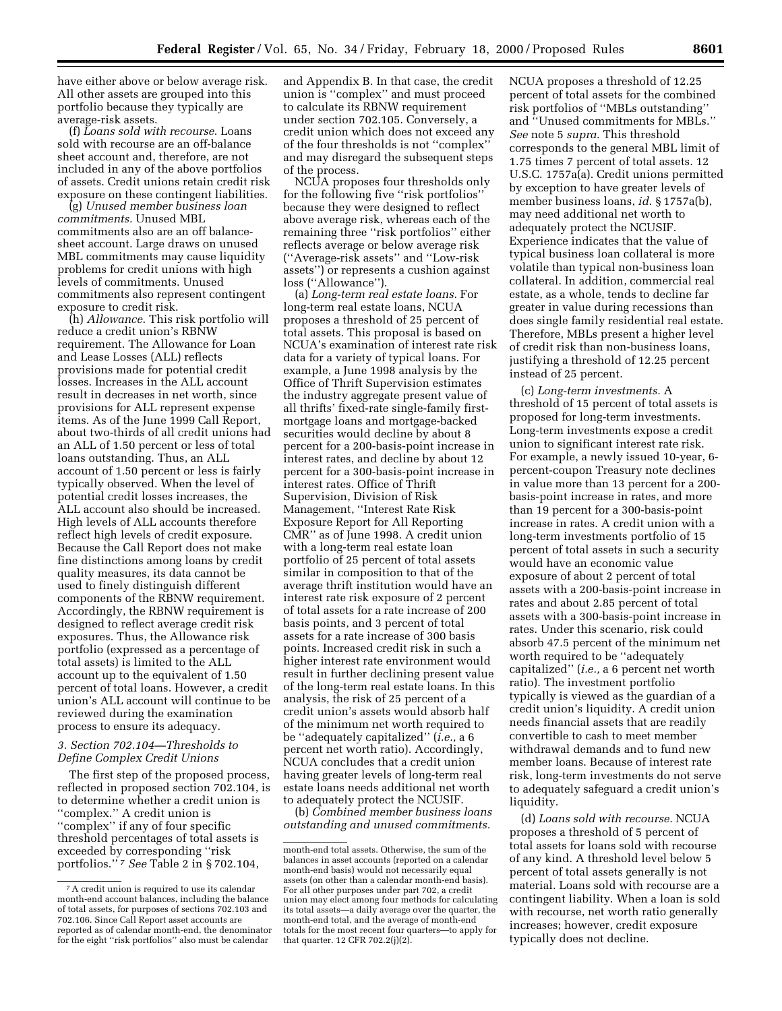have either above or below average risk. All other assets are grouped into this portfolio because they typically are average-risk assets.

(f) *Loans sold with recourse*. Loans sold with recourse are an off-balance sheet account and, therefore, are not included in any of the above portfolios of assets. Credit unions retain credit risk exposure on these contingent liabilities.

(g) *Unused member business loan commitments.* Unused MBL commitments also are an off balancesheet account. Large draws on unused MBL commitments may cause liquidity problems for credit unions with high levels of commitments. Unused commitments also represent contingent exposure to credit risk.

(h) *Allowance*. This risk portfolio will reduce a credit union's RBNW requirement. The Allowance for Loan and Lease Losses (ALL) reflects provisions made for potential credit losses. Increases in the ALL account result in decreases in net worth, since provisions for ALL represent expense items. As of the June 1999 Call Report, about two-thirds of all credit unions had an ALL of 1.50 percent or less of total loans outstanding. Thus, an ALL account of 1.50 percent or less is fairly typically observed. When the level of potential credit losses increases, the ALL account also should be increased. High levels of ALL accounts therefore reflect high levels of credit exposure. Because the Call Report does not make fine distinctions among loans by credit quality measures, its data cannot be used to finely distinguish different components of the RBNW requirement. Accordingly, the RBNW requirement is designed to reflect average credit risk exposures. Thus, the Allowance risk portfolio (expressed as a percentage of total assets) is limited to the ALL account up to the equivalent of 1.50 percent of total loans. However, a credit union's ALL account will continue to be reviewed during the examination process to ensure its adequacy.

### *3. Section 702.104—Thresholds to Define Complex Credit Unions*

The first step of the proposed process, reflected in proposed section 702.104, is to determine whether a credit union is ''complex.'' A credit union is ''complex'' if any of four specific threshold percentages of total assets is exceeded by corresponding ''risk portfolios.'' 7 *See* Table 2 in § 702.104,

and Appendix B. In that case, the credit union is ''complex'' and must proceed to calculate its RBNW requirement under section 702.105. Conversely, a credit union which does not exceed any of the four thresholds is not ''complex'' and may disregard the subsequent steps of the process.

NCUA proposes four thresholds only for the following five ''risk portfolios'' because they were designed to reflect above average risk, whereas each of the remaining three ''risk portfolios'' either reflects average or below average risk (''Average-risk assets'' and ''Low-risk assets'') or represents a cushion against loss (''Allowance'').

(a) *Long-term real estate loans.* For long-term real estate loans, NCUA proposes a threshold of 25 percent of total assets. This proposal is based on NCUA's examination of interest rate risk data for a variety of typical loans. For example, a June 1998 analysis by the Office of Thrift Supervision estimates the industry aggregate present value of all thrifts' fixed-rate single-family firstmortgage loans and mortgage-backed securities would decline by about 8 percent for a 200-basis-point increase in interest rates, and decline by about 12 percent for a 300-basis-point increase in interest rates. Office of Thrift Supervision, Division of Risk Management, ''Interest Rate Risk Exposure Report for All Reporting CMR'' as of June 1998. A credit union with a long-term real estate loan portfolio of 25 percent of total assets similar in composition to that of the average thrift institution would have an interest rate risk exposure of 2 percent of total assets for a rate increase of 200 basis points, and 3 percent of total assets for a rate increase of 300 basis points. Increased credit risk in such a higher interest rate environment would result in further declining present value of the long-term real estate loans. In this analysis, the risk of 25 percent of a credit union's assets would absorb half of the minimum net worth required to be ''adequately capitalized'' (*i.e.,* a 6 percent net worth ratio). Accordingly, NCUA concludes that a credit union having greater levels of long-term real estate loans needs additional net worth to adequately protect the NCUSIF.

(b) *Combined member business loans outstanding and unused commitments.*

NCUA proposes a threshold of 12.25 percent of total assets for the combined risk portfolios of ''MBLs outstanding'' and ''Unused commitments for MBLs.'' *See* note 5 *supra*. This threshold corresponds to the general MBL limit of 1.75 times 7 percent of total assets. 12 U.S.C. 1757a(a). Credit unions permitted by exception to have greater levels of member business loans, *id*. § 1757a(b), may need additional net worth to adequately protect the NCUSIF. Experience indicates that the value of typical business loan collateral is more volatile than typical non-business loan collateral. In addition, commercial real estate, as a whole, tends to decline far greater in value during recessions than does single family residential real estate. Therefore, MBLs present a higher level of credit risk than non-business loans, justifying a threshold of 12.25 percent instead of 25 percent.

(c) *Long-term investments.* A threshold of 15 percent of total assets is proposed for long-term investments. Long-term investments expose a credit union to significant interest rate risk. For example, a newly issued 10-year, 6 percent-coupon Treasury note declines in value more than 13 percent for a 200 basis-point increase in rates, and more than 19 percent for a 300-basis-point increase in rates. A credit union with a long-term investments portfolio of 15 percent of total assets in such a security would have an economic value exposure of about 2 percent of total assets with a 200-basis-point increase in rates and about 2.85 percent of total assets with a 300-basis-point increase in rates. Under this scenario, risk could absorb 47.5 percent of the minimum net worth required to be ''adequately capitalized'' (*i.e.,* a 6 percent net worth ratio). The investment portfolio typically is viewed as the guardian of a credit union's liquidity. A credit union needs financial assets that are readily convertible to cash to meet member withdrawal demands and to fund new member loans. Because of interest rate risk, long-term investments do not serve to adequately safeguard a credit union's liquidity.

(d) *Loans sold with recourse.* NCUA proposes a threshold of 5 percent of total assets for loans sold with recourse of any kind. A threshold level below 5 percent of total assets generally is not material. Loans sold with recourse are a contingent liability. When a loan is sold with recourse, net worth ratio generally increases; however, credit exposure typically does not decline.

<sup>7</sup>A credit union is required to use its calendar month-end account balances, including the balance of total assets, for purposes of sections 702.103 and 702.106. Since Call Report asset accounts are reported as of calendar month-end, the denominator for the eight ''risk portfolios'' also must be calendar

month-end total assets. Otherwise, the sum of the balances in asset accounts (reported on a calendar month-end basis) would not necessarily equal assets (on other than a calendar month-end basis). For all other purposes under part 702, a credit union may elect among four methods for calculating its total assets—a daily average over the quarter, the month-end total, and the average of month-end totals for the most recent four quarters—to apply for that quarter. 12 CFR  $702.2(j)(2)$ .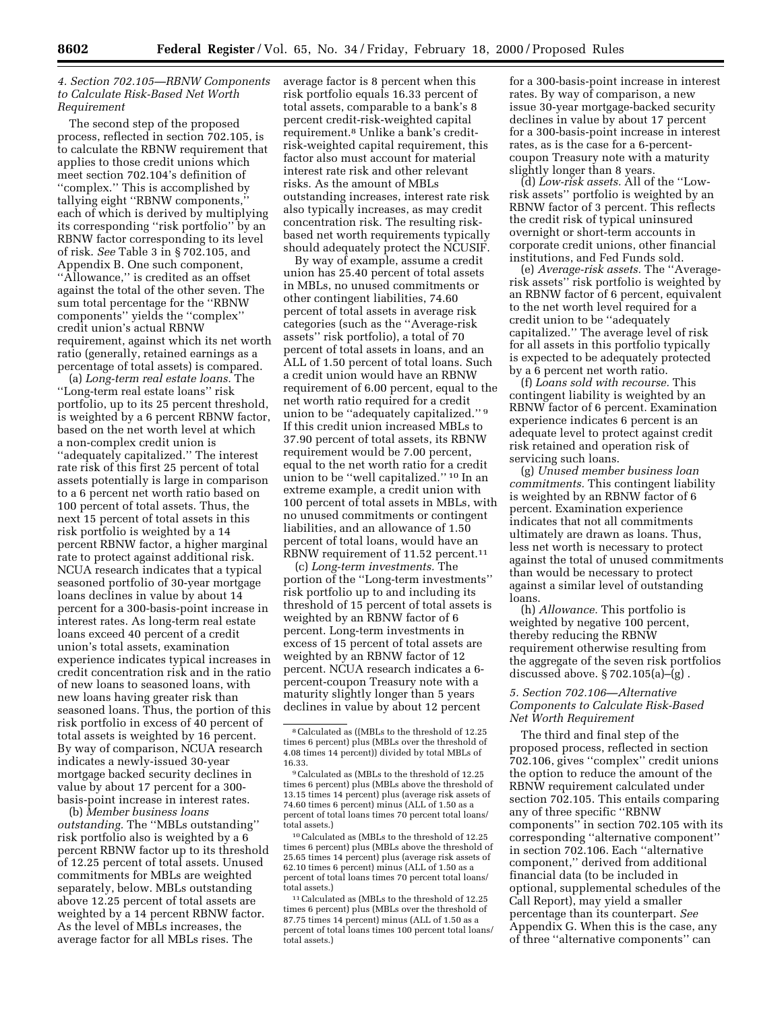### *4. Section 702.105—RBNW Components to Calculate Risk-Based Net Worth Requirement*

The second step of the proposed process, reflected in section 702.105, is to calculate the RBNW requirement that applies to those credit unions which meet section 702.104's definition of ''complex.'' This is accomplished by tallying eight ''RBNW components,'' each of which is derived by multiplying its corresponding ''risk portfolio'' by an RBNW factor corresponding to its level of risk. *See* Table 3 in § 702.105, and Appendix B. One such component, ''Allowance,'' is credited as an offset against the total of the other seven. The sum total percentage for the ''RBNW components'' yields the ''complex'' credit union's actual RBNW requirement, against which its net worth ratio (generally, retained earnings as a percentage of total assets) is compared.

(a) *Long-term real estate loans.* The ''Long-term real estate loans'' risk portfolio, up to its 25 percent threshold, is weighted by a 6 percent RBNW factor, based on the net worth level at which a non-complex credit union is ''adequately capitalized.'' The interest rate risk of this first 25 percent of total assets potentially is large in comparison to a 6 percent net worth ratio based on 100 percent of total assets. Thus, the next 15 percent of total assets in this risk portfolio is weighted by a 14 percent RBNW factor, a higher marginal rate to protect against additional risk. NCUA research indicates that a typical seasoned portfolio of 30-year mortgage loans declines in value by about 14 percent for a 300-basis-point increase in interest rates. As long-term real estate loans exceed 40 percent of a credit union's total assets, examination experience indicates typical increases in credit concentration risk and in the ratio of new loans to seasoned loans, with new loans having greater risk than seasoned loans. Thus, the portion of this risk portfolio in excess of 40 percent of total assets is weighted by 16 percent. By way of comparison, NCUA research indicates a newly-issued 30-year mortgage backed security declines in value by about 17 percent for a 300 basis-point increase in interest rates.

(b) *Member business loans outstanding.* The ''MBLs outstanding'' risk portfolio also is weighted by a 6 percent RBNW factor up to its threshold of 12.25 percent of total assets. Unused commitments for MBLs are weighted separately, below. MBLs outstanding above 12.25 percent of total assets are weighted by a 14 percent RBNW factor. As the level of MBLs increases, the average factor for all MBLs rises. The

average factor is 8 percent when this risk portfolio equals 16.33 percent of total assets, comparable to a bank's 8 percent credit-risk-weighted capital requirement.8 Unlike a bank's creditrisk-weighted capital requirement, this factor also must account for material interest rate risk and other relevant risks. As the amount of MBLs outstanding increases, interest rate risk also typically increases, as may credit concentration risk. The resulting riskbased net worth requirements typically should adequately protect the NCUSIF.

By way of example, assume a credit union has 25.40 percent of total assets in MBLs, no unused commitments or other contingent liabilities, 74.60 percent of total assets in average risk categories (such as the ''Average-risk assets'' risk portfolio), a total of 70 percent of total assets in loans, and an ALL of 1.50 percent of total loans. Such a credit union would have an RBNW requirement of 6.00 percent, equal to the net worth ratio required for a credit union to be ''adequately capitalized.'' 9 If this credit union increased MBLs to 37.90 percent of total assets, its RBNW requirement would be 7.00 percent, equal to the net worth ratio for a credit union to be ''well capitalized.'' 10 In an extreme example, a credit union with 100 percent of total assets in MBLs, with no unused commitments or contingent liabilities, and an allowance of 1.50 percent of total loans, would have an RBNW requirement of 11.52 percent.11

(c) *Long-term investments.* The portion of the ''Long-term investments'' risk portfolio up to and including its threshold of 15 percent of total assets is weighted by an RBNW factor of 6 percent. Long-term investments in excess of 15 percent of total assets are weighted by an RBNW factor of 12 percent. NCUA research indicates a 6 percent-coupon Treasury note with a maturity slightly longer than 5 years declines in value by about 12 percent

10Calculated as (MBLs to the threshold of 12.25 times 6 percent) plus (MBLs above the threshold of 25.65 times 14 percent) plus (average risk assets of 62.10 times 6 percent) minus (ALL of 1.50 as a percent of total loans times 70 percent total loans/ total assets.)

11Calculated as (MBLs to the threshold of 12.25 times 6 percent) plus (MBLs over the threshold of 87.75 times 14 percent) minus (ALL of 1.50 as a percent of total loans times 100 percent total loans/ total assets.)

for a 300-basis-point increase in interest rates. By way of comparison, a new issue 30-year mortgage-backed security declines in value by about 17 percent for a 300-basis-point increase in interest rates, as is the case for a 6-percentcoupon Treasury note with a maturity slightly longer than 8 years.

(d) *Low-risk assets.* All of the ''Lowrisk assets'' portfolio is weighted by an RBNW factor of 3 percent. This reflects the credit risk of typical uninsured overnight or short-term accounts in corporate credit unions, other financial institutions, and Fed Funds sold.

(e) *Average-risk assets.* The ''Averagerisk assets'' risk portfolio is weighted by an RBNW factor of 6 percent, equivalent to the net worth level required for a credit union to be ''adequately capitalized.'' The average level of risk for all assets in this portfolio typically is expected to be adequately protected by a 6 percent net worth ratio.

(f) *Loans sold with recourse.* This contingent liability is weighted by an RBNW factor of 6 percent. Examination experience indicates 6 percent is an adequate level to protect against credit risk retained and operation risk of servicing such loans.

(g) *Unused member business loan commitments.* This contingent liability is weighted by an RBNW factor of 6 percent. Examination experience indicates that not all commitments ultimately are drawn as loans. Thus, less net worth is necessary to protect against the total of unused commitments than would be necessary to protect against a similar level of outstanding loans.

(h) *Allowance.* This portfolio is weighted by negative 100 percent, thereby reducing the RBNW requirement otherwise resulting from the aggregate of the seven risk portfolios discussed above. § 702.105(a)–(g) .

### *5. Section 702.106—Alternative Components to Calculate Risk-Based Net Worth Requirement*

The third and final step of the proposed process, reflected in section 702.106, gives ''complex'' credit unions the option to reduce the amount of the RBNW requirement calculated under section 702.105. This entails comparing any of three specific ''RBNW components'' in section 702.105 with its corresponding ''alternative component'' in section 702.106. Each ''alternative component,'' derived from additional financial data (to be included in optional, supplemental schedules of the Call Report), may yield a smaller percentage than its counterpart. *See* Appendix G. When this is the case, any of three ''alternative components'' can

<sup>8</sup>Calculated as ((MBLs to the threshold of 12.25 times 6 percent) plus (MBLs over the threshold of 4.08 times 14 percent)) divided by total MBLs of 16.33.

<sup>9</sup>Calculated as (MBLs to the threshold of 12.25 times 6 percent) plus (MBLs above the threshold of 13.15 times 14 percent) plus (average risk assets of 74.60 times 6 percent) minus (ALL of 1.50 as a percent of total loans times 70 percent total loans/ total assets.)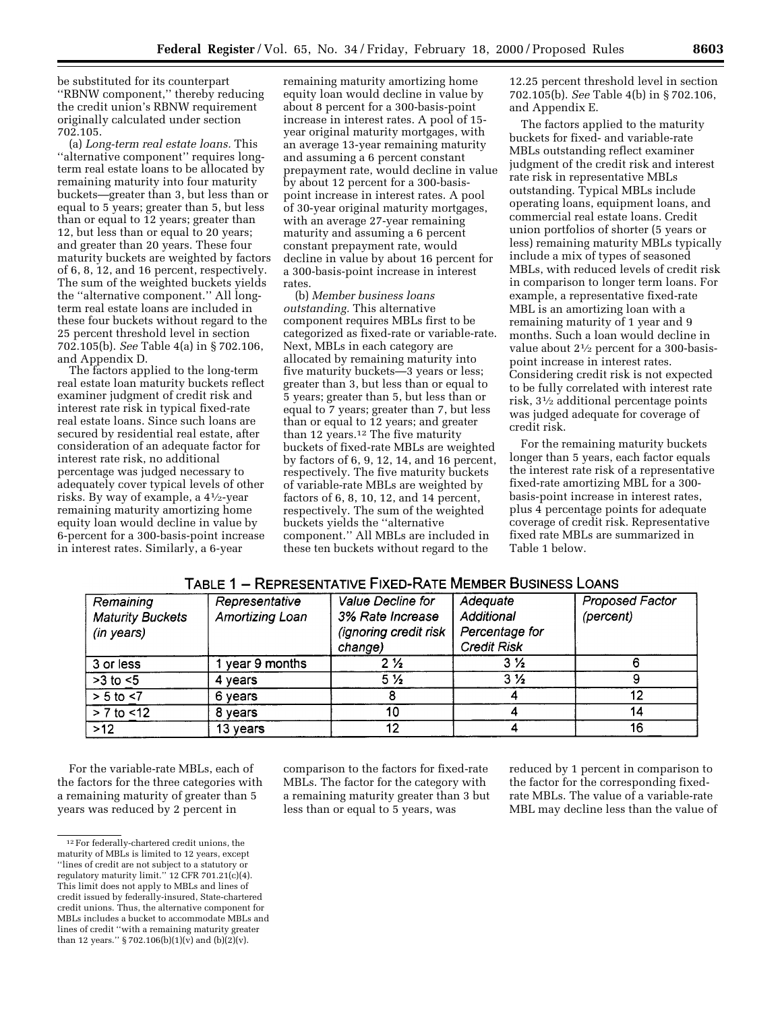be substituted for its counterpart ''RBNW component,'' thereby reducing the credit union's RBNW requirement originally calculated under section 702.105.

(a) *Long-term real estate loans.* This ''alternative component'' requires longterm real estate loans to be allocated by remaining maturity into four maturity buckets—greater than 3, but less than or equal to 5 years; greater than 5, but less than or equal to 12 years; greater than 12, but less than or equal to 20 years; and greater than 20 years. These four maturity buckets are weighted by factors of 6, 8, 12, and 16 percent, respectively. The sum of the weighted buckets yields the ''alternative component.'' All longterm real estate loans are included in these four buckets without regard to the 25 percent threshold level in section 702.105(b). *See* Table 4(a) in § 702.106, and Appendix D.

The factors applied to the long-term real estate loan maturity buckets reflect examiner judgment of credit risk and interest rate risk in typical fixed-rate real estate loans. Since such loans are secured by residential real estate, after consideration of an adequate factor for interest rate risk, no additional percentage was judged necessary to adequately cover typical levels of other risks. By way of example, a 41⁄2-year remaining maturity amortizing home equity loan would decline in value by 6-percent for a 300-basis-point increase in interest rates. Similarly, a 6-year

remaining maturity amortizing home equity loan would decline in value by about 8 percent for a 300-basis-point increase in interest rates. A pool of 15 year original maturity mortgages, with an average 13-year remaining maturity and assuming a 6 percent constant prepayment rate, would decline in value by about 12 percent for a 300-basispoint increase in interest rates. A pool of 30-year original maturity mortgages, with an average 27-year remaining maturity and assuming a 6 percent constant prepayment rate, would decline in value by about 16 percent for a 300-basis-point increase in interest rates.

(b) *Member business loans outstanding.* This alternative component requires MBLs first to be categorized as fixed-rate or variable-rate. Next, MBLs in each category are allocated by remaining maturity into five maturity buckets—3 years or less; greater than 3, but less than or equal to 5 years; greater than 5, but less than or equal to 7 years; greater than 7, but less than or equal to 12 years; and greater than 12 years.<sup>12</sup> The five maturity buckets of fixed-rate MBLs are weighted by factors of 6, 9, 12, 14, and 16 percent, respectively. The five maturity buckets of variable-rate MBLs are weighted by factors of 6, 8, 10, 12, and 14 percent, respectively. The sum of the weighted buckets yields the ''alternative component.'' All MBLs are included in these ten buckets without regard to the

12.25 percent threshold level in section 702.105(b). *See* Table 4(b) in § 702.106, and Appendix E.

The factors applied to the maturity buckets for fixed- and variable-rate MBLs outstanding reflect examiner judgment of the credit risk and interest rate risk in representative MBLs outstanding. Typical MBLs include operating loans, equipment loans, and commercial real estate loans. Credit union portfolios of shorter (5 years or less) remaining maturity MBLs typically include a mix of types of seasoned MBLs, with reduced levels of credit risk in comparison to longer term loans. For example, a representative fixed-rate MBL is an amortizing loan with a remaining maturity of 1 year and 9 months. Such a loan would decline in value about 21⁄2 percent for a 300-basispoint increase in interest rates. Considering credit risk is not expected to be fully correlated with interest rate risk, 31⁄2 additional percentage points was judged adequate for coverage of credit risk.

For the remaining maturity buckets longer than 5 years, each factor equals the interest rate risk of a representative fixed-rate amortizing MBL for a 300 basis-point increase in interest rates, plus 4 percentage points for adequate coverage of credit risk. Representative fixed rate MBLs are summarized in Table 1 below.

| Remaining               | Representative  | Value Decline for     | Adequate           | <b>Proposed Factor</b> |  |
|-------------------------|-----------------|-----------------------|--------------------|------------------------|--|
| <b>Maturity Buckets</b> | Amortizing Loan | 3% Rate Increase      | Additional         | (percent)              |  |
| (in years)              |                 | (ignoring credit risk | Percentage for     |                        |  |
|                         |                 | change)               | <b>Credit Risk</b> |                        |  |
| 3 or less               | year 9 months   | $2\frac{1}{2}$        | $3\frac{1}{2}$     |                        |  |
| $>3$ to $<5$            | 4 years         | 5 <sub>2</sub>        | $3\frac{1}{2}$     |                        |  |
| $> 5$ to $< 7$          | 6 years         |                       |                    | 12                     |  |
| $> 7$ to $< 12$         | 8 years         | 10                    |                    | 14                     |  |
| >12                     | 13 years        | 12                    |                    | 16                     |  |

# TABLE 1 - REPRESENTATIVE FIXED-RATE MEMBER BUSINESS LOANS

For the variable-rate MBLs, each of the factors for the three categories with a remaining maturity of greater than 5 years was reduced by 2 percent in

comparison to the factors for fixed-rate MBLs. The factor for the category with a remaining maturity greater than 3 but less than or equal to 5 years, was

reduced by 1 percent in comparison to the factor for the corresponding fixedrate MBLs. The value of a variable-rate MBL may decline less than the value of

<sup>12</sup>For federally-chartered credit unions, the maturity of MBLs is limited to 12 years, except ''lines of credit are not subject to a statutory or regulatory maturity limit.'' 12 CFR 701.21(c)(4). This limit does not apply to MBLs and lines of credit issued by federally-insured, State-chartered credit unions. Thus, the alternative component for MBLs includes a bucket to accommodate MBLs and lines of credit ''with a remaining maturity greater than 12 years." § 702.106(b)(1)(v) and (b)(2)(v).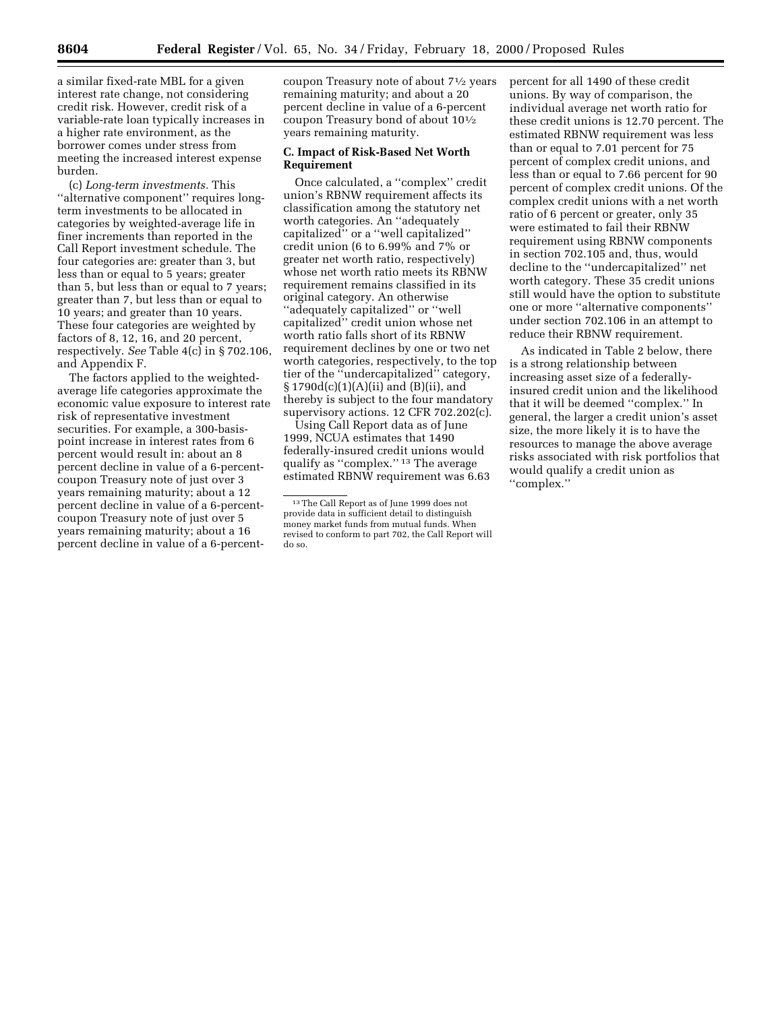a similar fixed-rate MBL for a given interest rate change, not considering credit risk. However, credit risk of a variable-rate loan typically increases in a higher rate environment, as the borrower comes under stress from meeting the increased interest expense burden.

(c) *Long-term investments.* This "alternative component" requires longterm investments to be allocated in categories by weighted-average life in finer increments than reported in the Call Report investment schedule. The four categories are: greater than 3, but less than or equal to 5 years; greater than 5, but less than or equal to 7 years; greater than 7, but less than or equal to 10 years; and greater than 10 years. These four categories are weighted by factors of 8, 12, 16, and 20 percent, respectively. *See* Table 4(c) in § 702.106, and Appendix F.

The factors applied to the weightedaverage life categories approximate the economic value exposure to interest rate risk of representative investment securities. For example, a 300-basispoint increase in interest rates from 6 percent would result in: about an 8 percent decline in value of a 6-percentcoupon Treasury note of just over 3 years remaining maturity; about a 12 percent decline in value of a 6-percentcoupon Treasury note of just over 5 years remaining maturity; about a 16 percent decline in value of a 6-percent-

coupon Treasury note of about 71⁄2 years remaining maturity; and about a 20 percent decline in value of a 6-percent coupon Treasury bond of about 101⁄2 years remaining maturity.

#### **C. Impact of Risk-Based Net Worth Requirement**

Once calculated, a ''complex'' credit union's RBNW requirement affects its classification among the statutory net worth categories. An ''adequately capitalized'' or a ''well capitalized'' credit union (6 to 6.99% and 7% or greater net worth ratio, respectively) whose net worth ratio meets its RBNW requirement remains classified in its original category. An otherwise ''adequately capitalized'' or ''well capitalized'' credit union whose net worth ratio falls short of its RBNW requirement declines by one or two net worth categories, respectively, to the top tier of the ''undercapitalized'' category, § 1790d(c)(1)(A)(ii) and (B)(ii), and thereby is subject to the four mandatory supervisory actions. 12 CFR 702.202(c).

Using Call Report data as of June 1999, NCUA estimates that 1490 federally-insured credit unions would qualify as ''complex.'' 13 The average estimated RBNW requirement was 6.63 percent for all 1490 of these credit unions. By way of comparison, the individual average net worth ratio for these credit unions is 12.70 percent. The estimated RBNW requirement was less than or equal to 7.01 percent for 75 percent of complex credit unions, and less than or equal to 7.66 percent for 90 percent of complex credit unions. Of the complex credit unions with a net worth ratio of 6 percent or greater, only 35 were estimated to fail their RBNW requirement using RBNW components in section 702.105 and, thus, would decline to the ''undercapitalized'' net worth category. These 35 credit unions still would have the option to substitute one or more ''alternative components'' under section 702.106 in an attempt to reduce their RBNW requirement.

As indicated in Table 2 below, there is a strong relationship between increasing asset size of a federallyinsured credit union and the likelihood that it will be deemed ''complex.'' In general, the larger a credit union's asset size, the more likely it is to have the resources to manage the above average risks associated with risk portfolios that would qualify a credit union as ''complex.''

<sup>13</sup>The Call Report as of June 1999 does not provide data in sufficient detail to distinguish money market funds from mutual funds. When revised to conform to part 702, the Call Report will do so.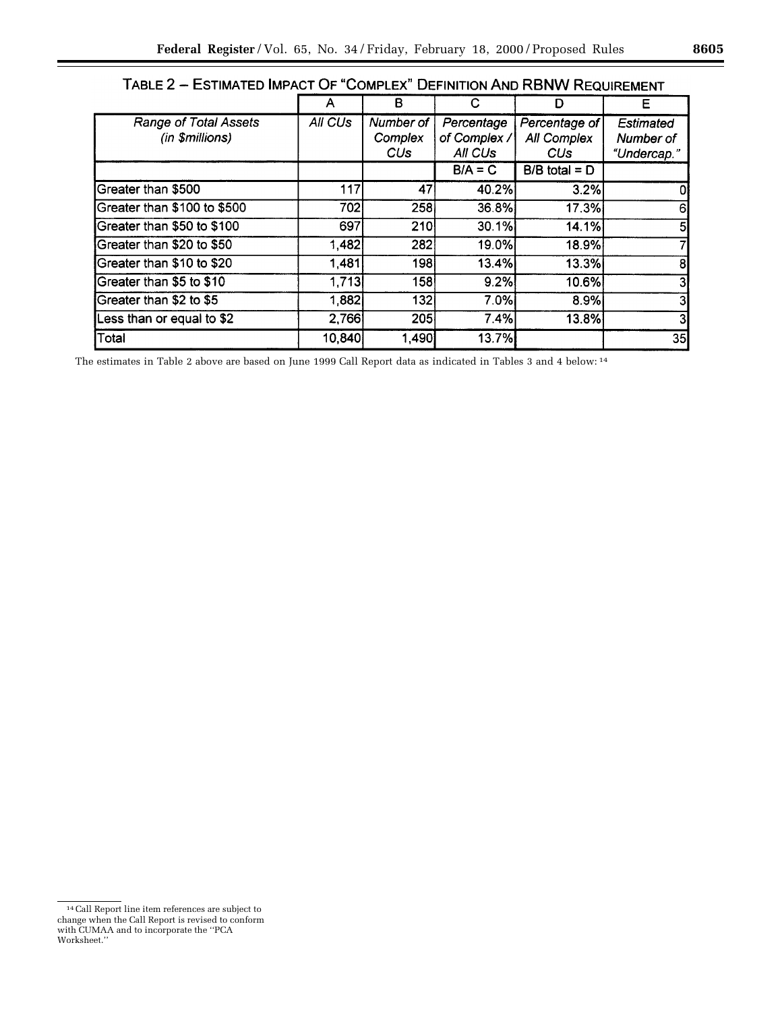| . rull 4<br>_________________<br><b>DELINITON AND INDIVY INLUDINEMI</b> |         |                             |                                       |                                                              |                                              |
|-------------------------------------------------------------------------|---------|-----------------------------|---------------------------------------|--------------------------------------------------------------|----------------------------------------------|
|                                                                         |         | в                           | C                                     | D                                                            | Е                                            |
| <b>Range of Total Assets</b><br>(in \$millions)                         | All CUs | Number of<br>Complex<br>CUs | Percentage<br>of Complex /<br>All CUs | Percentage of<br><b>All Complex</b><br><b>CU<sub>s</sub></b> | <b>Estimated</b><br>Number of<br>"Undercap." |
|                                                                         |         |                             | $B/A = C$                             | $B/B$ total = $D$                                            |                                              |
| Greater than \$500                                                      | 117     | 47                          | 40.2%                                 | 3.2%                                                         | 0                                            |
| Greater than \$100 to \$500                                             | 702l    | 258                         | 36.8%                                 | 17.3%                                                        | 6                                            |
| Greater than \$50 to \$100                                              | 697     | <b>210</b>                  | 30.1%                                 | 14.1%                                                        | 5                                            |
| Greater than \$20 to \$50                                               | 1,482   | 282                         | 19.0%                                 | 18.9%                                                        | 7                                            |
| Greater than \$10 to \$20                                               | 1,481   | 198                         | 13.4%                                 | 13.3%                                                        | 8                                            |
| Greater than \$5 to \$10                                                | 1,713   | 158                         | 9.2%                                  | 10.6%                                                        | 3                                            |
| Greater than \$2 to \$5                                                 | 1,882   | 132i                        | 7.0%                                  | 8.9%                                                         | 3                                            |
| Less than or equal to \$2                                               | 2,766   | 205                         | 7.4%                                  | 13.8%                                                        | 3                                            |
| Total                                                                   | 10,840  | ∣,490∣                      | 13.7%                                 |                                                              | 35                                           |

TABLE 2 - ESTIMATED IMPACT OF "COMPLEX" DEFINITION AND RBNW REQUIREMENT

The estimates in Table 2 above are based on June 1999 Call Report data as indicated in Tables 3 and 4 below: 14

<sup>14</sup>Call Report line item references are subject to change when the Call Report is revised to conform with CUMAA and to incorporate the ''PCA Worksheet.''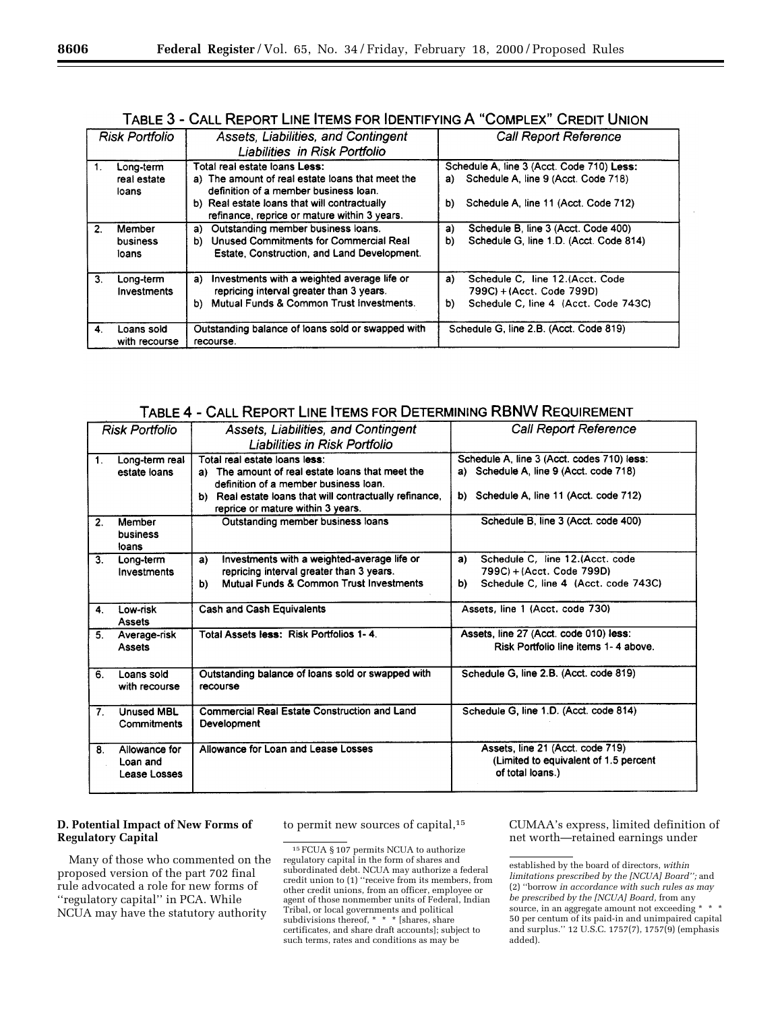# TABLE 3 - CALL REPORT LINE ITEMS FOR IDENTIFYING A "COMPLEX" CREDIT UNION

|                | <b>Risk Portfolio</b>             | Assets, Liabilities, and Contingent<br>Liabilities in Risk Portfolio                                                       |    | <b>Call Report Reference</b>                                                     |
|----------------|-----------------------------------|----------------------------------------------------------------------------------------------------------------------------|----|----------------------------------------------------------------------------------|
|                | Long-term<br>real estate<br>loans | Total real estate loans Less:<br>a) The amount of real estate loans that meet the<br>definition of a member business loan. | a) | Schedule A, line 3 (Acct. Code 710) Less:<br>Schedule A, line 9 (Acct. Code 718) |
|                |                                   | b) Real estate loans that will contractually<br>refinance, reprice or mature within 3 years.                               | b) | Schedule A, line 11 (Acct. Code 712)                                             |
| $\overline{2}$ | Member                            | Outstanding member business loans.<br>a)                                                                                   | a) | Schedule B, line 3 (Acct. Code 400)                                              |
|                | business                          | Unused Commitments for Commercial Real<br>b).                                                                              | b) | Schedule G, line 1.D. (Acct. Code 814)                                           |
|                | loans                             | Estate, Construction, and Land Development.                                                                                |    |                                                                                  |
| 3.             | Long-term                         | Investments with a weighted average life or<br>a)                                                                          | a) | Schedule C. line 12.(Acct. Code                                                  |
|                | Investments                       | repricing interval greater than 3 years.                                                                                   |    | 799C) + (Acct. Code 799D)                                                        |
|                |                                   | Mutual Funds & Common Trust Investments.<br>b).                                                                            | b) | Schedule C. line 4 (Acct. Code 743C)                                             |
| 4              | Loans sold                        | Outstanding balance of loans sold or swapped with                                                                          |    | Schedule G. line 2.B. (Acct. Code 819)                                           |
|                | with recourse                     | recourse.                                                                                                                  |    |                                                                                  |

TABLE 4 - CALL REPORT LINE ITEMS FOR DETERMINING RBNW REQUIREMENT

|                | Assets, Liabilities, and Contingent<br><b>Risk Portfolio</b> |                                                             | <b>Call Report Reference</b>               |  |
|----------------|--------------------------------------------------------------|-------------------------------------------------------------|--------------------------------------------|--|
|                |                                                              | Liabilities in Risk Portfolio                               |                                            |  |
| 1.             | Long-term real                                               | Total real estate loans less:                               | Schedule A, line 3 (Acct. codes 710) less: |  |
|                | estate loans                                                 | The amount of real estate loans that meet the               | a) Schedule A, line 9 (Acct. code 718)     |  |
|                |                                                              | definition of a member business loan.                       |                                            |  |
|                |                                                              | Real estate loans that will contractually refinance,<br>b). | b) Schedule A. line 11 (Acct. code 712)    |  |
|                |                                                              | reprice or mature within 3 years.                           |                                            |  |
| 2.             | Member                                                       | Outstanding member business loans                           | Schedule B, line 3 (Acct. code 400)        |  |
|                | business                                                     |                                                             |                                            |  |
|                | loans                                                        |                                                             |                                            |  |
| 3 <sub>1</sub> | Long-term                                                    | Investments with a weighted-average life or<br>a)           | Schedule C. line 12.(Acct. code<br>a)      |  |
|                | Investments                                                  | repricing interval greater than 3 years.                    | 799C) + (Acct. Code 799D)                  |  |
|                |                                                              | Mutual Funds & Common Trust Investments<br>b)               | Schedule C. line 4 (Acct. code 743C)<br>b) |  |
| 4.             | Low-risk                                                     | Cash and Cash Equivalents                                   | Assets, line 1 (Acct. code 730)            |  |
|                | <b>Assets</b>                                                |                                                             |                                            |  |
| 5.             | Average-risk                                                 | Total Assets less: Risk Portfolios 1-4.                     | Assets, line 27 (Acct. code 010) less:     |  |
|                | <b>Assets</b>                                                |                                                             | Risk Portfolio line items 1-4 above.       |  |
|                |                                                              |                                                             |                                            |  |
| 6.             | Loans sold                                                   | Outstanding balance of loans sold or swapped with           | Schedule G, line 2.B. (Acct. code 819)     |  |
|                | with recourse                                                | recourse                                                    |                                            |  |
|                |                                                              |                                                             |                                            |  |
| 7 <sub>1</sub> | <b>Unused MBL</b>                                            | <b>Commercial Real Estate Construction and Land</b>         | Schedule G. line 1.D. (Acct. code 814)     |  |
|                | Commitments                                                  | Development                                                 |                                            |  |
|                |                                                              |                                                             |                                            |  |
| 8.             | Allowance for                                                | Allowance for Loan and Lease Losses                         | Assets, line 21 (Acct. code 719)           |  |
|                | Loan and                                                     |                                                             | (Limited to equivalent of 1.5 percent      |  |
|                | Lease Losses                                                 |                                                             | of total loans.)                           |  |
|                |                                                              |                                                             |                                            |  |

## **D. Potential Impact of New Forms of Regulatory Capital**

Many of those who commented on the proposed version of the part 702 final rule advocated a role for new forms of ''regulatory capital'' in PCA. While NCUA may have the statutory authority

to permit new sources of capital,15 CUMAA's express, limited definition of net worth—retained earnings under

<sup>15</sup>FCUA § 107 permits NCUA to authorize regulatory capital in the form of shares and subordinated debt. NCUA may authorize a federal credit union to (1) ''receive from its members, from other credit unions, from an officer, employee or agent of those nonmember units of Federal, Indian Tribal, or local governments and political subdivisions thereof, \* \* \* [shares, share certificates, and share draft accounts]; subject to such terms, rates and conditions as may be

established by the board of directors, *within limitations prescribed by the [NCUA] Board'';* and (2) ''borrow *in accordance with such rules as may be prescribed by the [NCUA] Board,* from any source, in an aggregate amount not exceeding \* \* \* 50 per centum of its paid-in and unimpaired capital and surplus.'' 12 U.S.C. 1757(7), 1757(9) (emphasis added).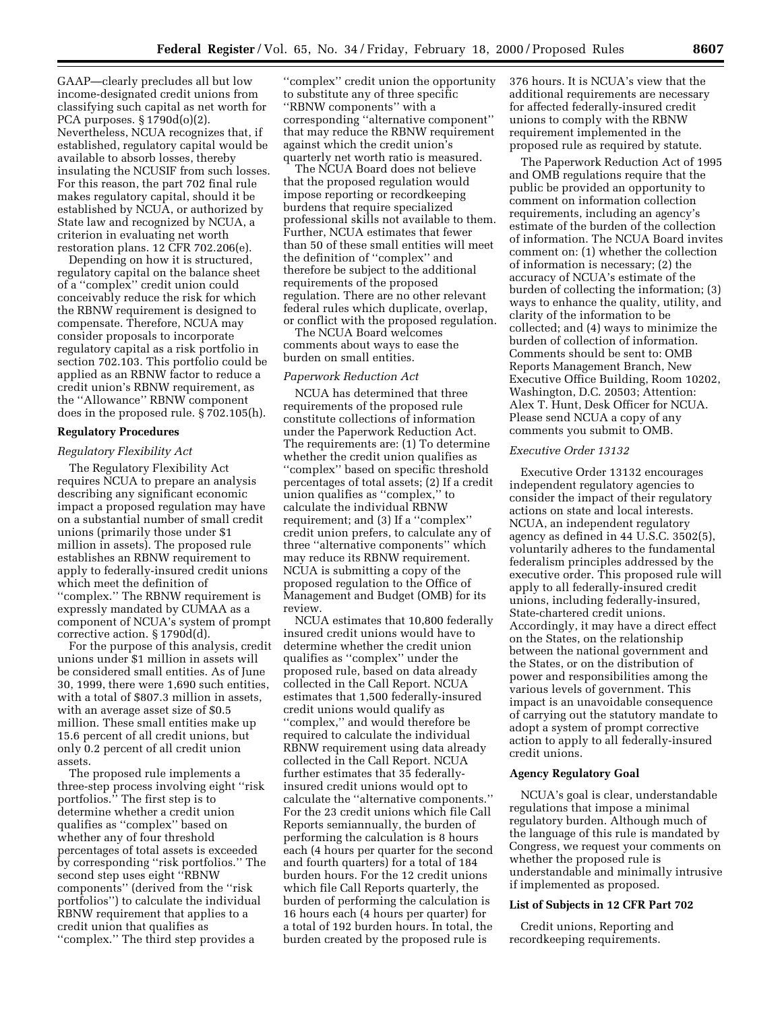GAAP—clearly precludes all but low income-designated credit unions from classifying such capital as net worth for PCA purposes. § 1790d(o)(2). Nevertheless, NCUA recognizes that, if established, regulatory capital would be available to absorb losses, thereby insulating the NCUSIF from such losses. For this reason, the part 702 final rule makes regulatory capital, should it be established by NCUA, or authorized by State law and recognized by NCUA, a criterion in evaluating net worth restoration plans. 12 CFR 702.206(e).

Depending on how it is structured, regulatory capital on the balance sheet of a ''complex'' credit union could conceivably reduce the risk for which the RBNW requirement is designed to compensate. Therefore, NCUA may consider proposals to incorporate regulatory capital as a risk portfolio in section 702.103. This portfolio could be applied as an RBNW factor to reduce a credit union's RBNW requirement, as the ''Allowance'' RBNW component does in the proposed rule. § 702.105(h).

#### **Regulatory Procedures**

### *Regulatory Flexibility Act*

The Regulatory Flexibility Act requires NCUA to prepare an analysis describing any significant economic impact a proposed regulation may have on a substantial number of small credit unions (primarily those under \$1 million in assets). The proposed rule establishes an RBNW requirement to apply to federally-insured credit unions which meet the definition of ''complex.'' The RBNW requirement is expressly mandated by CUMAA as a component of NCUA's system of prompt corrective action. § 1790d(d).

For the purpose of this analysis, credit unions under \$1 million in assets will be considered small entities. As of June 30, 1999, there were 1,690 such entities, with a total of \$807.3 million in assets, with an average asset size of \$0.5 million. These small entities make up 15.6 percent of all credit unions, but only 0.2 percent of all credit union assets.

The proposed rule implements a three-step process involving eight ''risk portfolios.'' The first step is to determine whether a credit union qualifies as ''complex'' based on whether any of four threshold percentages of total assets is exceeded by corresponding ''risk portfolios.'' The second step uses eight ''RBNW components'' (derived from the ''risk portfolios'') to calculate the individual RBNW requirement that applies to a credit union that qualifies as ''complex.'' The third step provides a

''complex'' credit union the opportunity to substitute any of three specific ''RBNW components'' with a corresponding ''alternative component'' that may reduce the RBNW requirement against which the credit union's quarterly net worth ratio is measured.

The NCUA Board does not believe that the proposed regulation would impose reporting or recordkeeping burdens that require specialized professional skills not available to them. Further, NCUA estimates that fewer than 50 of these small entities will meet the definition of ''complex'' and therefore be subject to the additional requirements of the proposed regulation. There are no other relevant federal rules which duplicate, overlap, or conflict with the proposed regulation.

The NCUA Board welcomes comments about ways to ease the burden on small entities.

#### *Paperwork Reduction Act*

NCUA has determined that three requirements of the proposed rule constitute collections of information under the Paperwork Reduction Act. The requirements are: (1) To determine whether the credit union qualifies as ''complex'' based on specific threshold percentages of total assets; (2) If a credit union qualifies as ''complex,'' to calculate the individual RBNW requirement; and (3) If a ''complex'' credit union prefers, to calculate any of three ''alternative components'' which may reduce its RBNW requirement. NCUA is submitting a copy of the proposed regulation to the Office of Management and Budget (OMB) for its review.

NCUA estimates that 10,800 federally insured credit unions would have to determine whether the credit union qualifies as ''complex'' under the proposed rule, based on data already collected in the Call Report. NCUA estimates that 1,500 federally-insured credit unions would qualify as ''complex,'' and would therefore be required to calculate the individual RBNW requirement using data already collected in the Call Report. NCUA further estimates that 35 federallyinsured credit unions would opt to calculate the ''alternative components.'' For the 23 credit unions which file Call Reports semiannually, the burden of performing the calculation is 8 hours each (4 hours per quarter for the second and fourth quarters) for a total of 184 burden hours. For the 12 credit unions which file Call Reports quarterly, the burden of performing the calculation is 16 hours each (4 hours per quarter) for a total of 192 burden hours. In total, the burden created by the proposed rule is

376 hours. It is NCUA's view that the additional requirements are necessary for affected federally-insured credit unions to comply with the RBNW requirement implemented in the proposed rule as required by statute.

The Paperwork Reduction Act of 1995 and OMB regulations require that the public be provided an opportunity to comment on information collection requirements, including an agency's estimate of the burden of the collection of information. The NCUA Board invites comment on: (1) whether the collection of information is necessary; (2) the accuracy of NCUA's estimate of the burden of collecting the information; (3) ways to enhance the quality, utility, and clarity of the information to be collected; and (4) ways to minimize the burden of collection of information. Comments should be sent to: OMB Reports Management Branch, New Executive Office Building, Room 10202, Washington, D.C. 20503; Attention: Alex T. Hunt, Desk Officer for NCUA. Please send NCUA a copy of any comments you submit to OMB.

#### *Executive Order 13132*

Executive Order 13132 encourages independent regulatory agencies to consider the impact of their regulatory actions on state and local interests. NCUA, an independent regulatory agency as defined in 44 U.S.C. 3502(5), voluntarily adheres to the fundamental federalism principles addressed by the executive order. This proposed rule will apply to all federally-insured credit unions, including federally-insured, State-chartered credit unions. Accordingly, it may have a direct effect on the States, on the relationship between the national government and the States, or on the distribution of power and responsibilities among the various levels of government. This impact is an unavoidable consequence of carrying out the statutory mandate to adopt a system of prompt corrective action to apply to all federally-insured credit unions.

#### **Agency Regulatory Goal**

NCUA's goal is clear, understandable regulations that impose a minimal regulatory burden. Although much of the language of this rule is mandated by Congress, we request your comments on whether the proposed rule is understandable and minimally intrusive if implemented as proposed.

#### **List of Subjects in 12 CFR Part 702**

Credit unions, Reporting and recordkeeping requirements.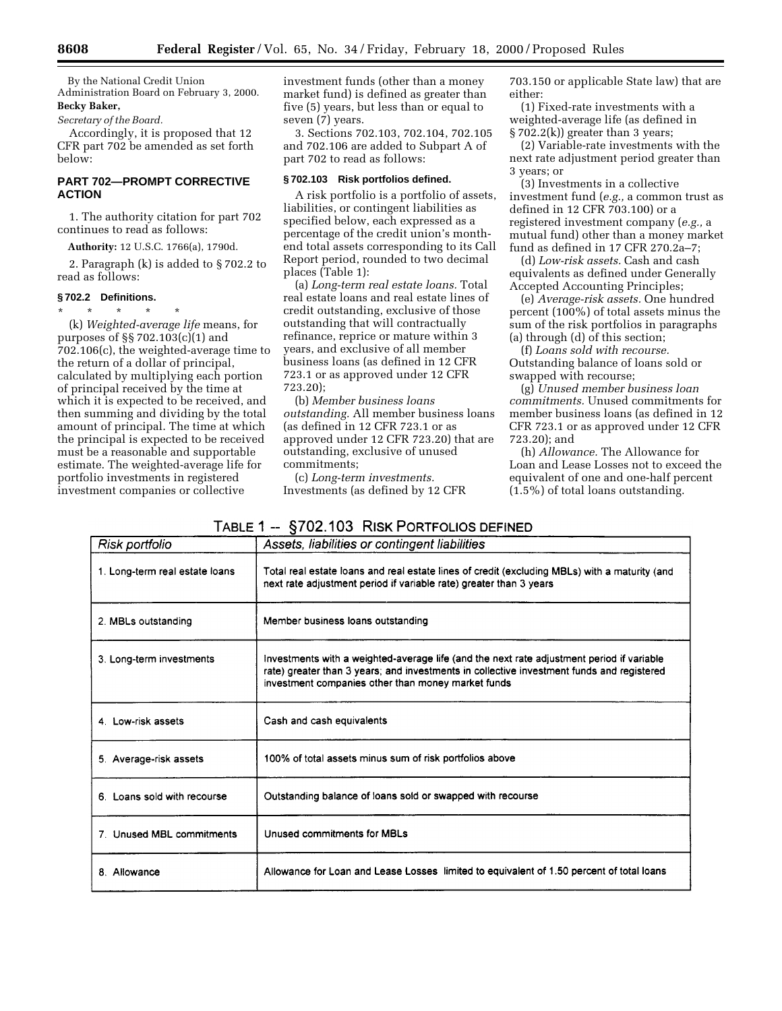By the National Credit Union Administration Board on February 3, 2000.

# **Becky Baker,**

*Secretary of the Board.*

Accordingly, it is proposed that 12 CFR part 702 be amended as set forth below:

# **PART 702—PROMPT CORRECTIVE ACTION**

1. The authority citation for part 702 continues to read as follows:

**Authority:** 12 U.S.C. 1766(a), 1790d.

2. Paragraph (k) is added to § 702.2 to read as follows:

## **§ 702.2 Definitions.**

\* \* \* \* \* (k) *Weighted-average life* means, for purposes of §§ 702.103(c)(1) and 702.106(c), the weighted-average time to the return of a dollar of principal, calculated by multiplying each portion of principal received by the time at which it is expected to be received, and then summing and dividing by the total amount of principal. The time at which the principal is expected to be received must be a reasonable and supportable estimate. The weighted-average life for portfolio investments in registered investment companies or collective

investment funds (other than a money market fund) is defined as greater than five (5) years, but less than or equal to seven (7) years.

3. Sections 702.103, 702.104, 702.105 and 702.106 are added to Subpart A of part 702 to read as follows:

### **§ 702.103 Risk portfolios defined.**

A risk portfolio is a portfolio of assets, liabilities, or contingent liabilities as specified below, each expressed as a percentage of the credit union's monthend total assets corresponding to its Call Report period, rounded to two decimal places (Table 1):

(a) *Long-term real estate loans.* Total real estate loans and real estate lines of credit outstanding, exclusive of those outstanding that will contractually refinance, reprice or mature within 3 years, and exclusive of all member business loans (as defined in 12 CFR 723.1 or as approved under 12 CFR 723.20);

(b) *Member business loans outstanding.* All member business loans (as defined in 12 CFR 723.1 or as approved under 12 CFR 723.20) that are outstanding, exclusive of unused commitments;

(c) *Long-term investments.* Investments (as defined by 12 CFR 703.150 or applicable State law) that are either:

(1) Fixed-rate investments with a weighted-average life (as defined in § 702.2(k)) greater than 3 years;

(2) Variable-rate investments with the next rate adjustment period greater than 3 years; or

(3) Investments in a collective investment fund (*e.g.,* a common trust as defined in 12 CFR 703.100) or a registered investment company (*e.g.,* a mutual fund) other than a money market fund as defined in 17 CFR 270.2a–7;

(d) *Low-risk assets.* Cash and cash equivalents as defined under Generally Accepted Accounting Principles;

(e) *Average-risk assets.* One hundred percent (100%) of total assets minus the sum of the risk portfolios in paragraphs (a) through (d) of this section;

(f) *Loans sold with recourse.* Outstanding balance of loans sold or swapped with recourse;

(g) *Unused member business loan commitments.* Unused commitments for member business loans (as defined in 12 CFR 723.1 or as approved under 12 CFR 723.20); and

(h) *Allowance.* The Allowance for Loan and Lease Losses not to exceed the equivalent of one and one-half percent (1.5%) of total loans outstanding.

| Risk portfolio                 | Assets, liabilities or contingent liabilities                                                                                                                                                                                                |
|--------------------------------|----------------------------------------------------------------------------------------------------------------------------------------------------------------------------------------------------------------------------------------------|
| 1. Long-term real estate loans | Total real estate loans and real estate lines of credit (excluding MBLs) with a maturity (and<br>next rate adjustment period if variable rate) greater than 3 years                                                                          |
| 2. MBLs outstanding            | Member business loans outstanding                                                                                                                                                                                                            |
| 3. Long-term investments       | Investments with a weighted-average life (and the next rate adjustment period if variable<br>rate) greater than 3 years; and investments in collective investment funds and registered<br>investment companies other than money market funds |
| 4 Low-risk assets              | Cash and cash equivalents                                                                                                                                                                                                                    |
| 5. Average-risk assets         | 100% of total assets minus sum of risk portfolios above                                                                                                                                                                                      |
| 6. Loans sold with recourse    | Outstanding balance of loans sold or swapped with recourse                                                                                                                                                                                   |
| 7. Unused MBL commitments      | Unused commitments for MBLs                                                                                                                                                                                                                  |
| 8. Allowance                   | Allowance for Loan and Lease Losses limited to equivalent of 1.50 percent of total loans                                                                                                                                                     |

# TABLE 1 -- §702.103 RISK PORTFOLIOS DEFINED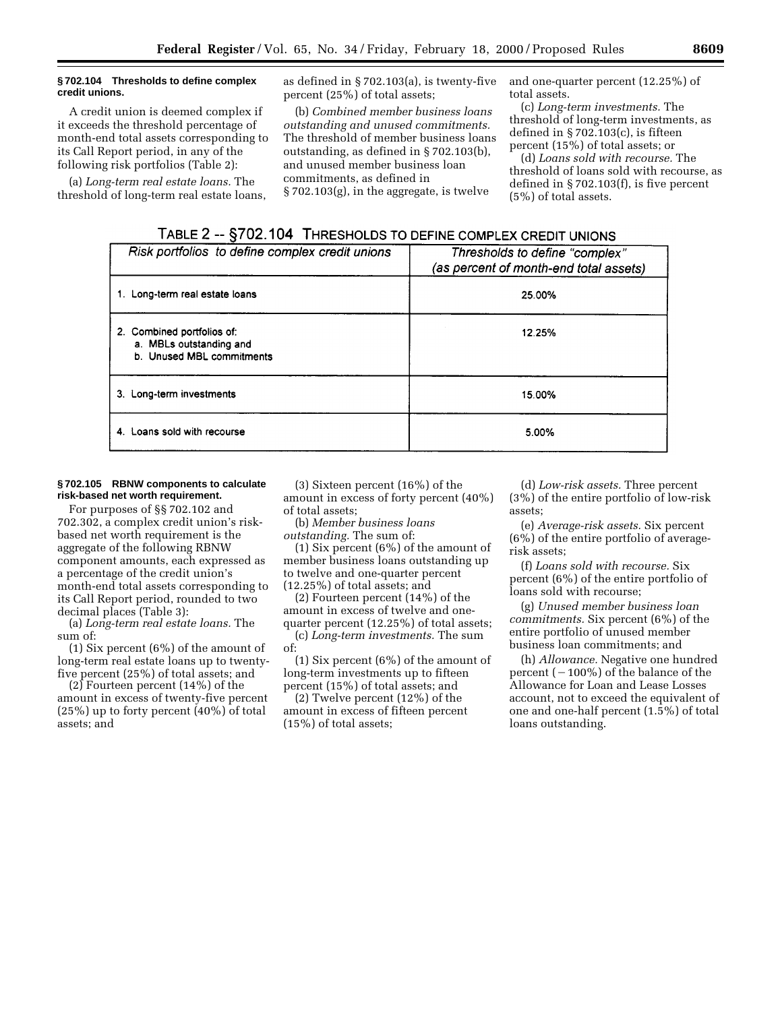#### **§ 702.104 Thresholds to define complex credit unions.**

A credit union is deemed complex if it exceeds the threshold percentage of month-end total assets corresponding to its Call Report period, in any of the following risk portfolios (Table 2):

(a) *Long-term real estate loans.* The threshold of long-term real estate loans, as defined in § 702.103(a), is twenty-five percent (25%) of total assets;

(b) *Combined member business loans outstanding and unused commitments.* The threshold of member business loans outstanding, as defined in § 702.103(b), and unused member business loan commitments, as defined in § 702.103(g), in the aggregate, is twelve

and one-quarter percent (12.25%) of total assets.

(c) *Long-term investments.* The threshold of long-term investments, as defined in § 702.103(c), is fifteen percent (15%) of total assets; or

(d) *Loans sold with recourse.* The threshold of loans sold with recourse, as defined in § 702.103(f), is five percent (5%) of total assets.

| TABLE 2 -- §702.104 THRESHOLDS TO DEFINE COMPLEX CREDIT UNIONS |
|----------------------------------------------------------------|
|                                                                |

| Risk portfolios to define complex credit unions                                    | Thresholds to define "complex"<br>(as percent of month-end total assets) |
|------------------------------------------------------------------------------------|--------------------------------------------------------------------------|
| 1. Long-term real estate loans                                                     | 25.00%                                                                   |
| 2. Combined portfolios of:<br>a. MBLs outstanding and<br>b. Unused MBL commitments | 12.25%                                                                   |
| 3. Long-term investments                                                           | 15.00%                                                                   |
| 4. Loans sold with recourse                                                        | 5.00%                                                                    |

### **§ 702.105 RBNW components to calculate risk-based net worth requirement.**

For purposes of §§ 702.102 and 702.302, a complex credit union's riskbased net worth requirement is the aggregate of the following RBNW component amounts, each expressed as a percentage of the credit union's month-end total assets corresponding to its Call Report period, rounded to two decimal places (Table 3):

(a) *Long-term real estate loans.* The sum of:

(1) Six percent (6%) of the amount of long-term real estate loans up to twentyfive percent (25%) of total assets; and

(2) Fourteen percent (14%) of the amount in excess of twenty-five percent (25%) up to forty percent (40%) of total assets; and

(3) Sixteen percent (16%) of the amount in excess of forty percent (40%) of total assets;

(b) *Member business loans outstanding.* The sum of:

(1) Six percent (6%) of the amount of member business loans outstanding up to twelve and one-quarter percent (12.25%) of total assets; and

(2) Fourteen percent (14%) of the amount in excess of twelve and onequarter percent (12.25%) of total assets; (c) *Long-term investments.* The sum of:

(1) Six percent (6%) of the amount of long-term investments up to fifteen percent (15%) of total assets; and

(2) Twelve percent (12%) of the amount in excess of fifteen percent (15%) of total assets;

(d) *Low-risk assets.* Three percent (3%) of the entire portfolio of low-risk assets;

(e) *Average-risk assets.* Six percent (6%) of the entire portfolio of averagerisk assets;

(f) *Loans sold with recourse.* Six percent (6%) of the entire portfolio of loans sold with recourse;

(g) *Unused member business loan commitments.* Six percent (6%) of the entire portfolio of unused member business loan commitments; and

(h) *Allowance.* Negative one hundred percent  $(-100\%)$  of the balance of the Allowance for Loan and Lease Losses account, not to exceed the equivalent of one and one-half percent (1.5%) of total loans outstanding.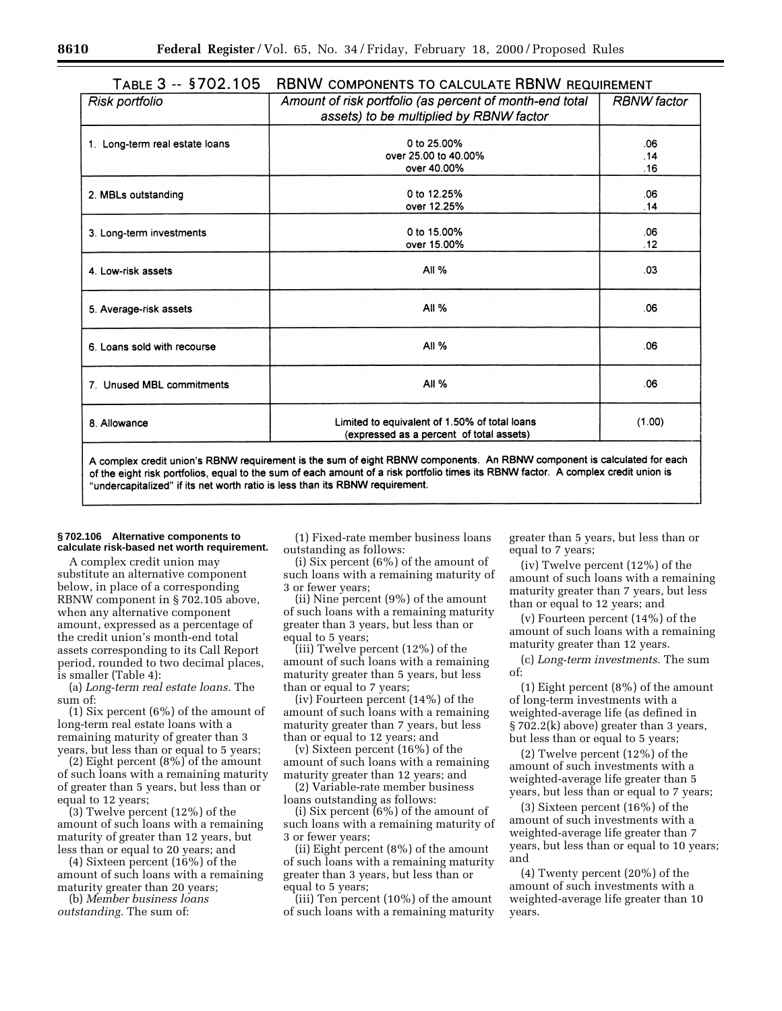| I ADLE J<br>$ -$<br>3792.199   | TUDINYY COMFONLIVIO TO CALCOLATE ITDINYY REQUIREMENT                                               |                    |
|--------------------------------|----------------------------------------------------------------------------------------------------|--------------------|
| Risk portfolio                 | Amount of risk portfolio (as percent of month-end total<br>assets) to be multiplied by RBNW factor | <b>RBNW</b> factor |
|                                |                                                                                                    |                    |
|                                |                                                                                                    |                    |
| 1. Long-term real estate loans | 0 to 25,00%                                                                                        | .06                |
|                                | over 25,00 to 40,00%                                                                               | .14                |
|                                | over 40.00%                                                                                        | .16                |
|                                |                                                                                                    |                    |
| 2. MBLs outstanding            | 0 to 12.25%                                                                                        | .06                |
|                                | over 12.25%                                                                                        | .14                |
|                                |                                                                                                    |                    |
| 3. Long-term investments       | 0 to 15.00%                                                                                        | .06                |
|                                | over 15.00%                                                                                        | .12                |
|                                |                                                                                                    |                    |
| 4. Low-risk assets             | All %                                                                                              | .03                |
|                                |                                                                                                    |                    |
|                                |                                                                                                    |                    |
| 5. Average-risk assets         | All $%$                                                                                            | .06                |
|                                |                                                                                                    |                    |
|                                |                                                                                                    |                    |
| 6. Loans sold with recourse    | All %                                                                                              | .06                |
|                                |                                                                                                    |                    |
|                                |                                                                                                    |                    |
| 7. Unused MBL commitments      | All $%$                                                                                            | .06                |
|                                |                                                                                                    |                    |
|                                |                                                                                                    |                    |
| 8. Allowance                   | Limited to equivalent of 1.50% of total loans                                                      | (1.00)             |
|                                | (expressed as a percent of total assets)                                                           |                    |
|                                |                                                                                                    |                    |

#### $T = 3 - 8702105$ **RRNW COMPONENTS TO CALCULATE RRNW REQUIREMENT**

A complex credit union's RBNW requirement is the sum of eight RBNW components. An RBNW component is calculated for each of the eight risk portfolios, equal to the sum of each amount of a risk portfolio times its RBNW factor. A complex credit union is "undercapitalized" if its net worth ratio is less than its RBNW requirement.

#### **§ 702.106 Alternative components to calculate risk-based net worth requirement.**

A complex credit union may substitute an alternative component below, in place of a corresponding RBNW component in § 702.105 above, when any alternative component amount, expressed as a percentage of the credit union's month-end total assets corresponding to its Call Report period, rounded to two decimal places, is smaller (Table 4):

(a) *Long-term real estate loans.* The sum of:

(1) Six percent (6%) of the amount of long-term real estate loans with a remaining maturity of greater than 3 years, but less than or equal to 5 years;

(2) Eight percent  $(8\%)$  of the amount of such loans with a remaining maturity of greater than 5 years, but less than or equal to 12 years;

(3) Twelve percent (12%) of the amount of such loans with a remaining maturity of greater than 12 years, but less than or equal to 20 years; and

(4) Sixteen percent (16%) of the amount of such loans with a remaining maturity greater than 20 years;

(b) *Member business loans outstanding.* The sum of:

(1) Fixed-rate member business loans outstanding as follows:

(i) Six percent (6%) of the amount of such loans with a remaining maturity of 3 or fewer years;

(ii) Nine percent (9%) of the amount of such loans with a remaining maturity greater than 3 years, but less than or equal to 5 years;

(iii) Twelve percent (12%) of the amount of such loans with a remaining maturity greater than 5 years, but less than or equal to 7 years;

(iv) Fourteen percent (14%) of the amount of such loans with a remaining maturity greater than 7 years, but less than or equal to 12 years; and

(v) Sixteen percent (16%) of the amount of such loans with a remaining maturity greater than 12 years; and

(2) Variable-rate member business loans outstanding as follows:

(i) Six percent (6%) of the amount of such loans with a remaining maturity of 3 or fewer years;

(ii) Eight percent (8%) of the amount of such loans with a remaining maturity greater than 3 years, but less than or equal to 5 years;

(iii) Ten percent (10%) of the amount of such loans with a remaining maturity greater than 5 years, but less than or equal to 7 years;

(iv) Twelve percent (12%) of the amount of such loans with a remaining maturity greater than 7 years, but less than or equal to 12 years; and

(v) Fourteen percent (14%) of the amount of such loans with a remaining maturity greater than 12 years.

(c) *Long-term investments.* The sum of:

(1) Eight percent (8%) of the amount of long-term investments with a weighted-average life (as defined in § 702.2(k) above) greater than 3 years, but less than or equal to 5 years;

(2) Twelve percent (12%) of the amount of such investments with a weighted-average life greater than 5 years, but less than or equal to 7 years;

(3) Sixteen percent (16%) of the amount of such investments with a weighted-average life greater than 7 years, but less than or equal to 10 years; and

(4) Twenty percent (20%) of the amount of such investments with a weighted-average life greater than 10 years.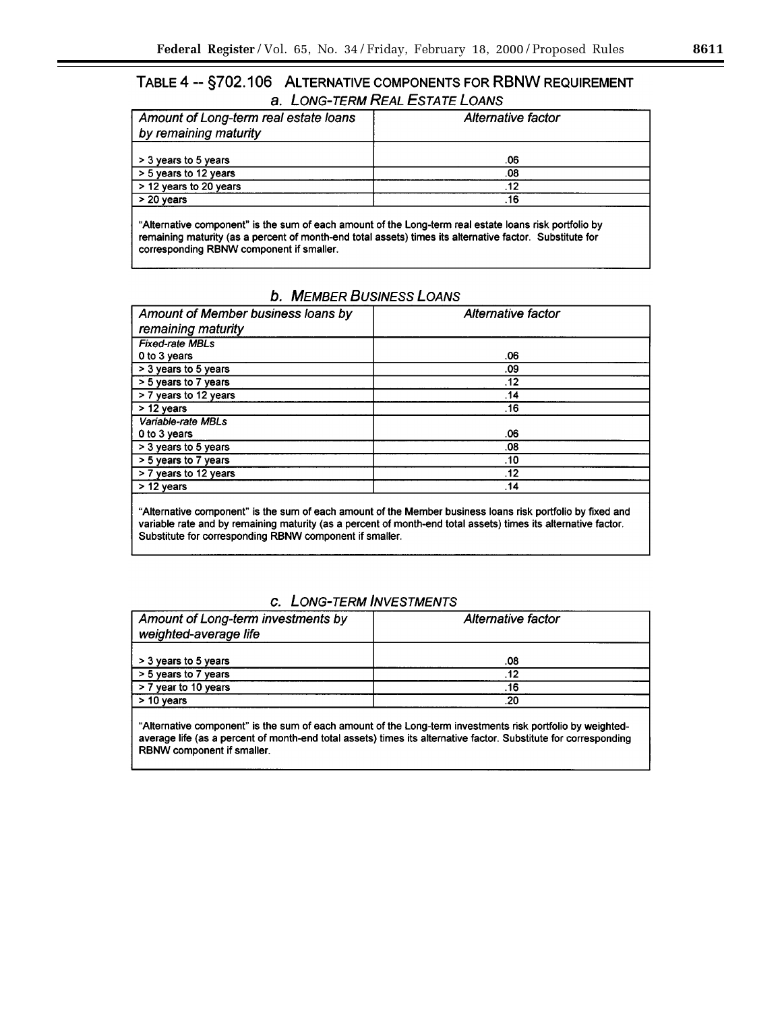# TABLE 4 -- §702.106 ALTERNATIVE COMPONENTS FOR RBNW REQUIREMENT a. LONG-TERM REAL ESTATE LOANS

| Amount of Long-term real estate loans | Alternative factor |  |
|---------------------------------------|--------------------|--|
| by remaining maturity                 |                    |  |
|                                       |                    |  |
| > 3 years to 5 years                  | .06                |  |
| > 5 years to 12 years                 | .08                |  |
| > 12 years to 20 years                | .12                |  |
| $> 20$ years                          | .16                |  |
|                                       |                    |  |

"Alternative component" is the sum of each amount of the Long-term real estate loans risk portfolio by remaining maturity (as a percent of month-end total assets) times its alternative factor. Substitute for corresponding RBNW component if smaller.

# **b. MEMBER BUSINESS LOANS**

| Amount of Member business loans by | Alternative factor |  |
|------------------------------------|--------------------|--|
| remaining maturity                 |                    |  |
| <b>Fixed-rate MBLs</b>             |                    |  |
| 0 to 3 years                       | .06                |  |
| > 3 years to 5 years               | .09                |  |
| > 5 years to 7 years               | .12                |  |
| > 7 years to 12 years              | .14                |  |
| $> 12$ years                       | .16                |  |
| Variable-rate MBLs                 |                    |  |
| 0 to 3 years                       | .06                |  |
| > 3 years to 5 years               | .08                |  |
| > 5 years to 7 years               | .10                |  |
| > 7 years to 12 years              | .12                |  |
| $> 12$ years                       | .14                |  |
|                                    |                    |  |

"Alternative component" is the sum of each amount of the Member business loans risk portfolio by fixed and variable rate and by remaining maturity (as a percent of month-end total assets) times its alternative factor. Substitute for corresponding RBNW component if smaller.

# c. LONG-TERM INVESTMENTS

| Amount of Long-term investments by | Alternative factor |  |
|------------------------------------|--------------------|--|
| weighted-average life              |                    |  |
|                                    |                    |  |
| > 3 years to 5 years               | 80.                |  |
| > 5 years to 7 years               | .12                |  |
| > 7 year to 10 years               | .16                |  |
| $> 10$ years                       | .20                |  |

"Alternative component" is the sum of each amount of the Long-term investments risk portfolio by weightedaverage life (as a percent of month-end total assets) times its alternative factor. Substitute for corresponding RBNW component if smaller.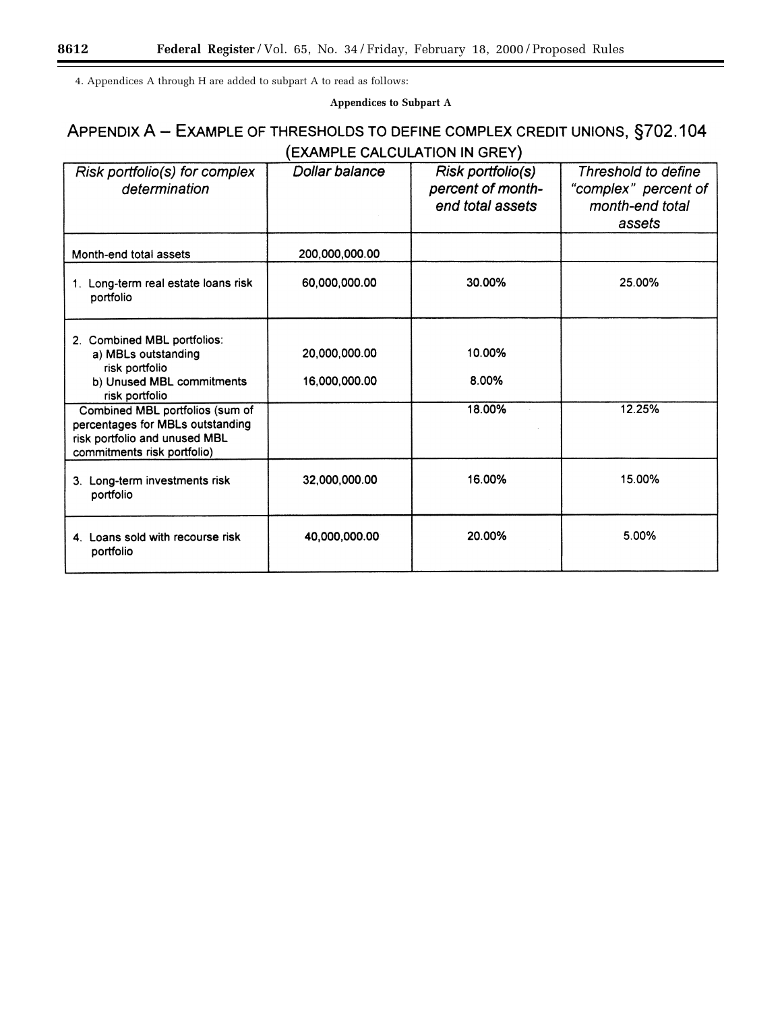4. Appendices A through H are added to subpart A to read as follows:

**Appendices to Subpart A**

# APPENDIX A - EXAMPLE OF THRESHOLDS TO DEFINE COMPLEX CREDIT UNIONS, §702.104 (EXAMPLE CALCULATION IN GREY)

| Risk portfolio(s) for complex<br>determination                                                                                      | <b>Dollar balance</b>          | Risk portfolio(s)<br>percent of month-<br>end total assets | Threshold to define<br>"complex" percent of<br>month-end total<br>assets |
|-------------------------------------------------------------------------------------------------------------------------------------|--------------------------------|------------------------------------------------------------|--------------------------------------------------------------------------|
| Month-end total assets                                                                                                              | 200.000.000.00                 |                                                            |                                                                          |
| 1. Long-term real estate loans risk<br>portfolio                                                                                    | 60,000,000.00                  | 30.00%                                                     | 25.00%                                                                   |
| 2. Combined MBL portfolios:<br>a) MBLs outstanding<br>risk portfolio<br>b) Unused MBL commitments<br>risk portfolio                 | 20,000,000.00<br>16,000,000.00 | 10.00%<br>8.00%                                            |                                                                          |
| Combined MBL portfolios (sum of<br>percentages for MBLs outstanding<br>risk portfolio and unused MBL<br>commitments risk portfolio) |                                | 18.00%                                                     | 12.25%                                                                   |
| 3. Long-term investments risk<br>portfolio                                                                                          | 32,000,000.00                  | 16.00%                                                     | 15.00%                                                                   |
| 4. Loans sold with recourse risk<br>portfolio                                                                                       | 40,000,000.00                  | 20.00%                                                     | 5.00%                                                                    |

۳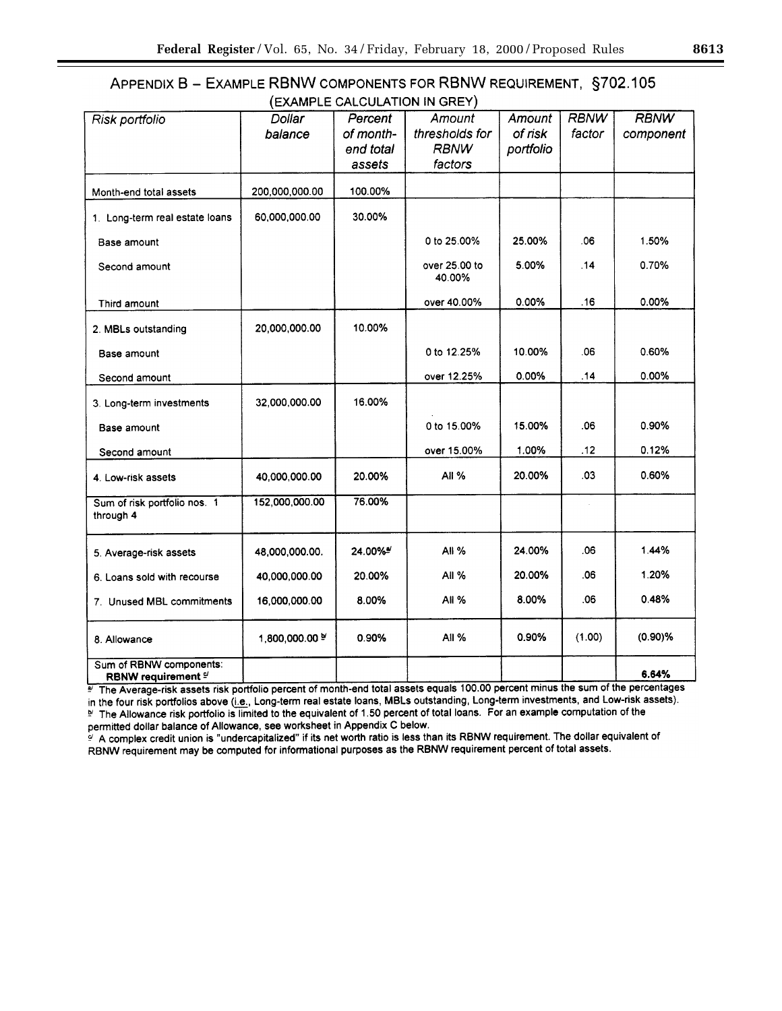# APPENDIX B - EXAMPLE RBNW COMPONENTS FOR RBNW REQUIREMENT, §702.105 (EXAMPLE CALCULATION IN GREY)

|                                                                  | L              |           |                         |           |             |             |  |
|------------------------------------------------------------------|----------------|-----------|-------------------------|-----------|-------------|-------------|--|
| Risk portfolio                                                   | Dollar         | Percent   | Amount                  | Amount    | <b>RBNW</b> | <b>RBNW</b> |  |
|                                                                  | balance        | of month- | thresholds for          | of risk   | factor      | component   |  |
|                                                                  |                | end total | <b>RBNW</b>             | portfolio |             |             |  |
|                                                                  |                | assets    | factors                 |           |             |             |  |
| Month-end total assets                                           | 200.000.000.00 | 100.00%   |                         |           |             |             |  |
|                                                                  |                |           |                         |           |             |             |  |
| 1. Long-term real estate loans                                   | 60,000,000.00  | 30.00%    |                         |           |             |             |  |
| Base amount                                                      |                |           | 0 to 25.00%             | 25.00%    | .06         | 1.50%       |  |
| Second amount                                                    |                |           | over 25.00 to<br>40.00% | 5.00%     | .14         | 0.70%       |  |
| Third amount                                                     |                |           | over 40.00%             | 0.00%     | .16         | 0.00%       |  |
| 2. MBLs outstanding                                              | 20,000,000.00  | 10.00%    |                         |           |             |             |  |
| Base amount                                                      |                |           | 0 to 12.25%             | 10.00%    | .06         | 0.60%       |  |
| Second amount                                                    |                |           | over 12.25%             | 0.00%     | .14         | 0.00%       |  |
| 3. Long-term investments                                         | 32,000,000.00  | 16.00%    |                         |           |             |             |  |
| Base amount                                                      |                |           | 0 to 15.00%             | 15.00%    | .06         | 0.90%       |  |
| Second amount                                                    |                |           | over 15.00%             | 1.00%     | .12         | 0.12%       |  |
| 4. Low-risk assets                                               | 40,000,000.00  | 20.00%    | All %                   | 20.00%    | .03         | 0.60%       |  |
| Sum of risk portfolio nos. 1<br>through 4                        | 152,000,000.00 | 76.00%    |                         |           |             |             |  |
| 5. Average-risk assets                                           | 48,000,000.00. | 24.00%*   | All %                   | 24.00%    | .06         | 1.44%       |  |
| 6. Loans sold with recourse                                      | 40,000,000.00  | 20.00%    | <b>All %</b>            | 20.00%    | .06         | 1.20%       |  |
| 7. Unused MBL commitments                                        | 16,000,000.00  | 8.00%     | <b>All %</b>            | 8.00%     | .06         | 0.48%       |  |
| 8. Allowance                                                     | 1,800,000.00 % | 0.90%     | <b>All %</b>            | 0.90%     | (1.00)      | $(0.90)$ %  |  |
| Sum of RBNW components:<br><b>RBNW requirement <sup>e/</sup></b> |                |           |                         |           |             | 6.64%       |  |

The Average-risk assets risk portfolio percent of month-end total assets equals 100.00 percent minus the sum of the percentages in the four risk portfolios above (i.e., Long-term real estate loans, MBLs outstanding, Long-term investments, and Low-risk assets). The Allowance risk portfolio is limited to the equivalent of 1.50 percent of total loans. For an example computation of the permitted dollar balance of Allowance, see worksheet in Appendix C below.

A complex credit union is "undercapitalized" if its net worth ratio is less than its RBNW requirement. The dollar equivalent of RBNW requirement may be computed for informational purposes as the RBNW requirement percent of total assets.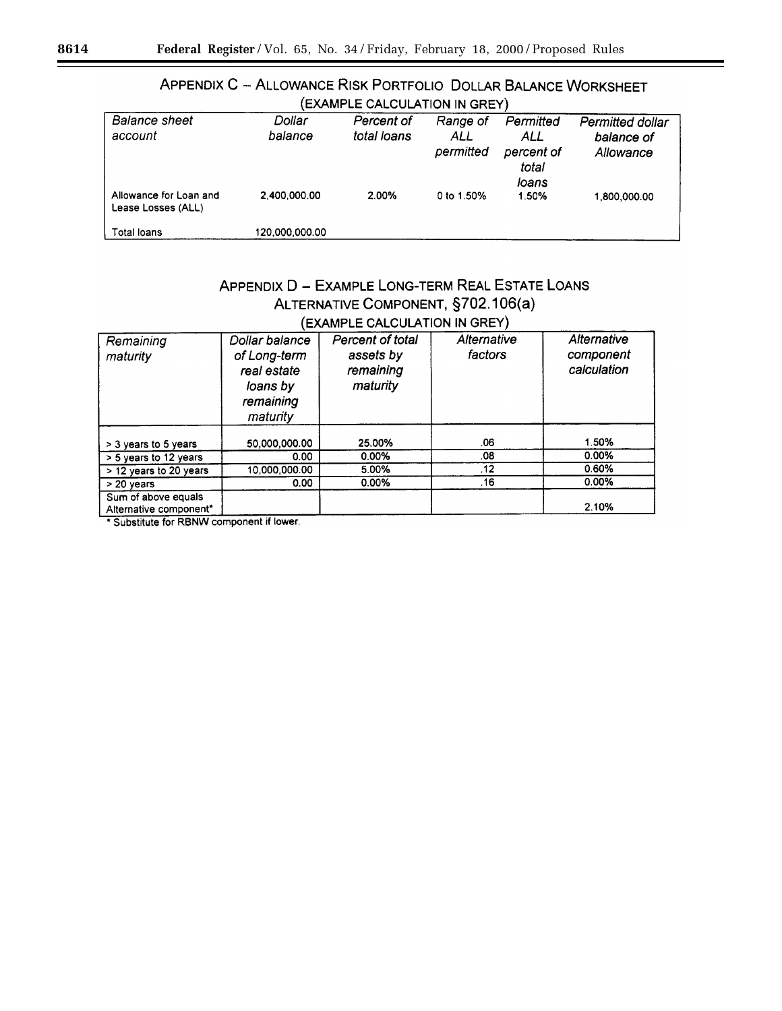| CAAMPLE UALUULATIUN IN GRETT                 |                   |                           |                              |                                                  |                                             |
|----------------------------------------------|-------------------|---------------------------|------------------------------|--------------------------------------------------|---------------------------------------------|
| <b>Balance sheet</b><br>account              | Dollar<br>balance | Percent of<br>total loans | Range of<br>ALL<br>permitted | Permitted<br>ALL<br>percent of<br>total<br>loans | Permitted dollar<br>balance of<br>Allowance |
| Allowance for Loan and<br>Lease Losses (ALL) | 2.400.000.00      | 2.00%                     | 0 to 1.50%                   | 1.50%                                            | 1,800,000.00                                |
| Total loans                                  | 120.000.000.00    |                           |                              |                                                  |                                             |

# APPENDIX C - ALLOWANCE RISK PORTFOLIO DOLLAR BALANCE WORKSHEET  $(FYAMP) F CAICII ATION IN GPEV)$

# APPENDIX D - EXAMPLE LONG-TERM REAL ESTATE LOANS ALTERNATIVE COMPONENT, §702.106(a) (EXAMPLE CALCULATION IN GREY)

| Remaining<br>maturity                         | Dollar balance<br>of Long-term<br>real estate<br>loans by<br>remaining<br>maturity | Percent of total<br>assets by<br>remaining<br>maturity | Alternative<br>factors | Alternative<br>component<br>calculation |
|-----------------------------------------------|------------------------------------------------------------------------------------|--------------------------------------------------------|------------------------|-----------------------------------------|
| > 3 years to 5 years                          | 50,000,000.00                                                                      | 25.00%                                                 | .06                    | 1.50%                                   |
| > 5 years to 12 years                         | 0.00                                                                               | 0.00%                                                  | .08                    | 0.00%                                   |
| > 12 years to 20 years                        | 10.000.000.00                                                                      | 5.00%                                                  | .12                    | 0.60%                                   |
| > 20 years                                    | 0.00                                                                               | 0.00%                                                  | .16                    | 0.00%                                   |
| Sum of above equals<br>Alternative component* |                                                                                    |                                                        |                        | 2.10%                                   |

\* Substitute for RBNW component if lower.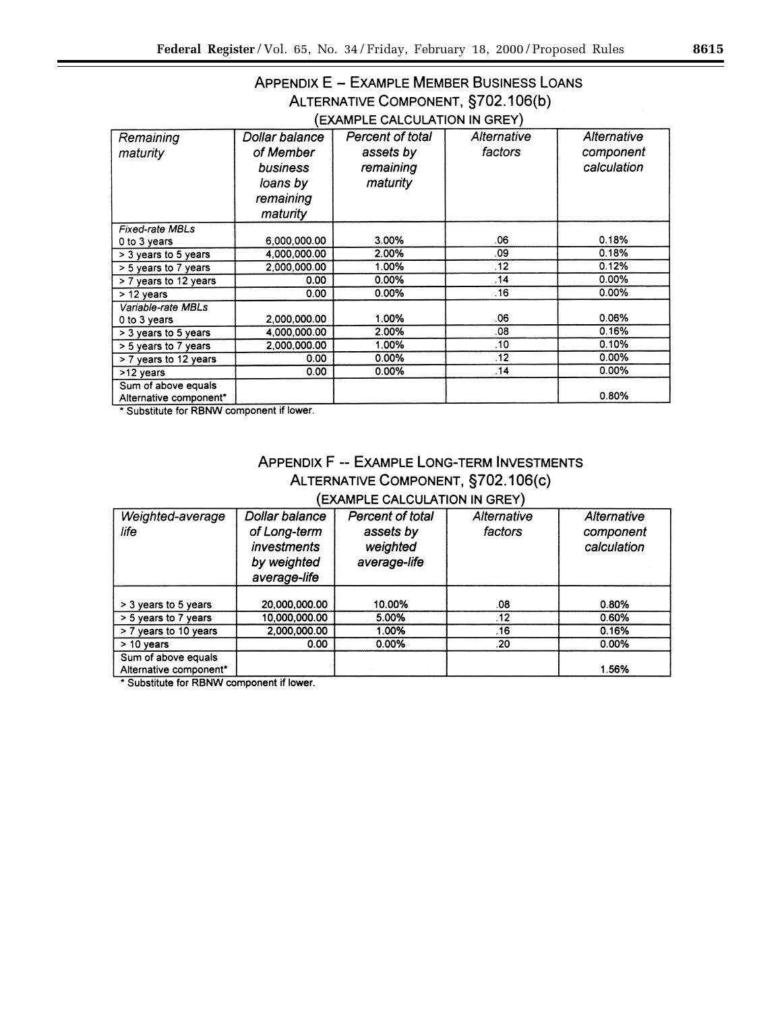# APPENDIX E - EXAMPLE MEMBER BUSINESS LOANS ALTERNATIVE COMPONENT, §702.106(b) (EXAMPLE CALCULATION IN GREY)

| Remaining              | Dollar balance | Percent of total | Alternative | Alternative |
|------------------------|----------------|------------------|-------------|-------------|
| maturity               | of Member      | assets by        | factors     | component   |
|                        | business       | remaining        |             | calculation |
|                        | loans by       | maturity         |             |             |
|                        | remaining      |                  |             |             |
|                        | maturity       |                  |             |             |
| <b>Fixed-rate MBLs</b> |                |                  |             |             |
| 0 to 3 years           | 6,000,000.00   | 3.00%            | .06         | 0.18%       |
| > 3 years to 5 years   | 4.000.000.00   | 2.00%            | .09         | 0.18%       |
| $> 5$ years to 7 years | 2,000,000.00   | 1.00%            | .12         | 0.12%       |
| > 7 years to 12 years  | 0.00           | 0.00%            | .14         | 0.00%       |
| $> 12$ years           | 0.00           | 0.00%            | .16         | $0.00\%$    |
| Variable-rate MBLs     |                |                  |             |             |
| 0 to 3 years           | 2,000,000.00   | 1.00%            | .06         | 0.06%       |
| > 3 years to 5 years   | 4.000.000.00   | 2.00%            | .08         | 0.16%       |
| > 5 years to 7 years   | 2.000.000.00   | 1.00%            | .10         | 0.10%       |
| > 7 years to 12 years  | 0.00           | $0.00\%$         | .12         | $0.00\%$    |
| >12 years              | 0.00           | 0.00%            | .14         | 0.00%       |
| Sum of above equals    |                |                  |             |             |
| Alternative component* |                |                  |             | 0.80%       |

\* Substitute for RBNW component if lower.

# APPENDIX F -- EXAMPLE LONG-TERM INVESTMENTS ALTERNATIVE COMPONENT, §702.106(c) (EXAMPLE CALCULATION IN GREY)

| Weighted-average<br>life                      | Dollar balance<br>of Long-term<br><i>investments</i><br>by weighted<br>average-life | Percent of total<br>assets by<br>weighted<br>average-life | Alternative<br>factors | Alternative<br>component<br>calculation |
|-----------------------------------------------|-------------------------------------------------------------------------------------|-----------------------------------------------------------|------------------------|-----------------------------------------|
| > 3 years to 5 years                          | 20,000,000.00                                                                       | 10.00%                                                    | .08                    | 0.80%                                   |
| > 5 years to 7 years                          | 10.000.000.00                                                                       | 5.00%                                                     | .12                    | 0.60%                                   |
| > 7 years to 10 years                         | 2,000,000.00                                                                        | 1.00%                                                     | .16                    | 0.16%                                   |
| $> 10$ vears                                  | 0.00                                                                                | $0.00\%$                                                  | .20                    | 0.00%                                   |
| Sum of above equals<br>Alternative component* |                                                                                     |                                                           |                        | 1.56%                                   |

\* Substitute for RBNW component if lower.